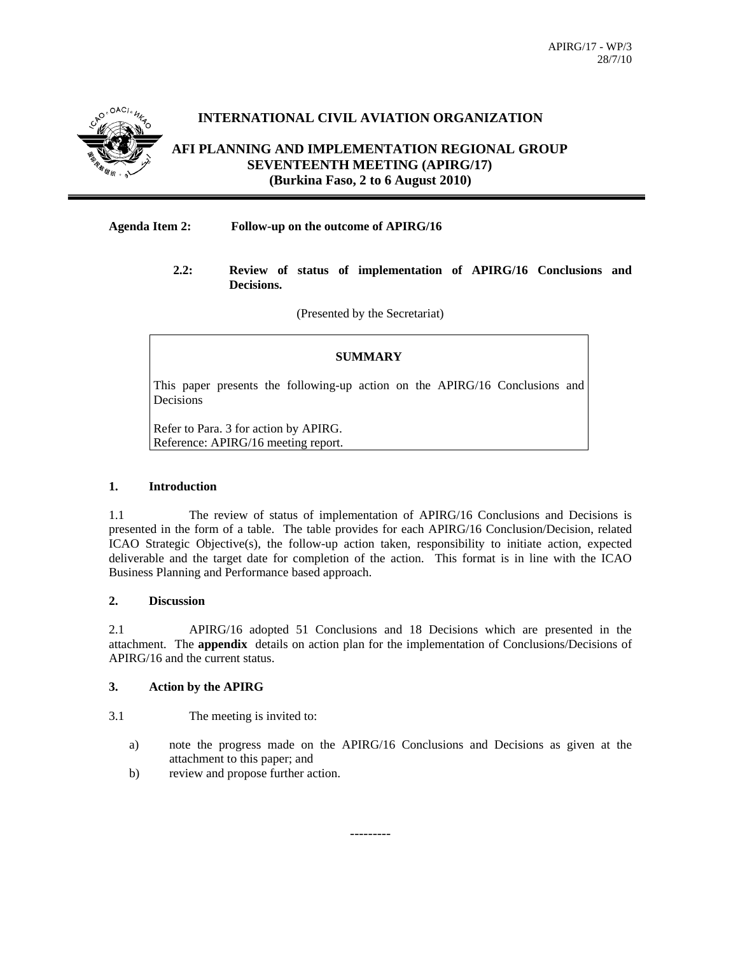

## **INTERNATIONAL CIVIL AVIATION ORGANIZATION**

## **AFI PLANNING AND IMPLEMENTATION REGIONAL GROUP SEVENTEENTH MEETING (APIRG/17) (Burkina Faso, 2 to 6 August 2010)**

#### **Agenda Item 2: Follow-up on the outcome of APIRG/16**

#### **2.2: Review of status of implementation of APIRG/16 Conclusions and Decisions.**

(Presented by the Secretariat)

### **SUMMARY**

This paper presents the following-up action on the APIRG/16 Conclusions and Decisions

Refer to Para. 3 for action by APIRG. Reference: APIRG/16 meeting report.

#### **1. Introduction**

1.1 The review of status of implementation of APIRG/16 Conclusions and Decisions is presented in the form of a table. The table provides for each APIRG/16 Conclusion/Decision, related ICAO Strategic Objective(s), the follow-up action taken, responsibility to initiate action, expected deliverable and the target date for completion of the action. This format is in line with the ICAO Business Planning and Performance based approach.

#### **2. Discussion**

2.1 APIRG/16 adopted 51 Conclusions and 18 Decisions which are presented in the attachment. The **appendix** details on action plan for the implementation of Conclusions/Decisions of APIRG/16 and the current status.

#### **3. Action by the APIRG**

3.1 The meeting is invited to:

- a) note the progress made on the APIRG/16 Conclusions and Decisions as given at the attachment to this paper; and
- b) review and propose further action.

---------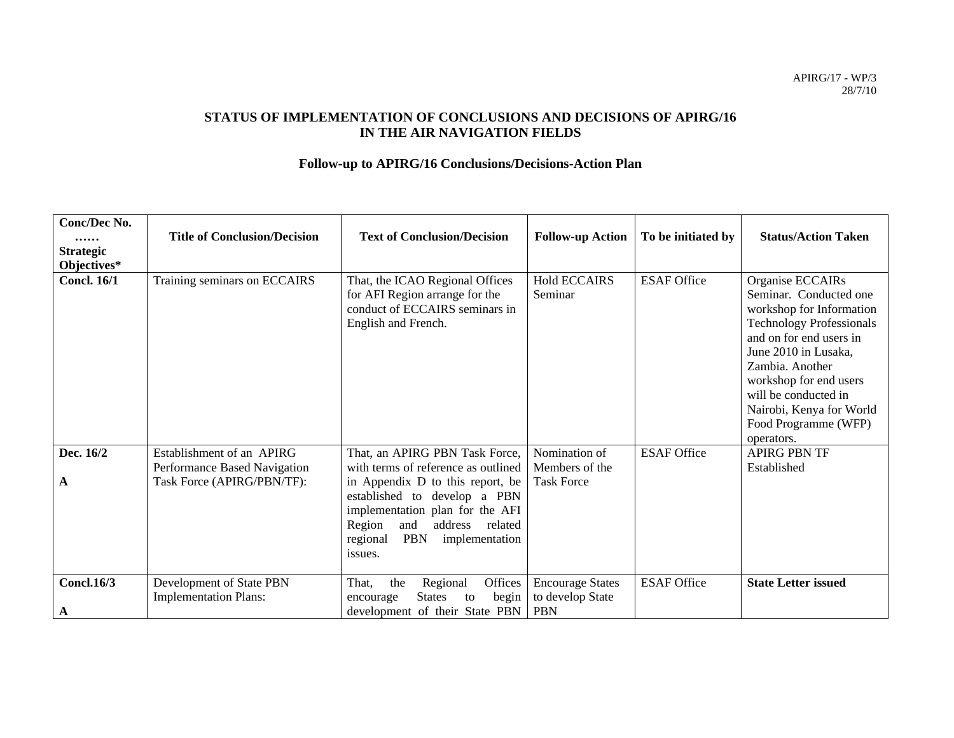## **STATUS OF IMPLEMENTATION OF CONCLUSIONS AND DECISIONS OF APIRG/16 IN THE AIR NAVIGATION FIELDS**

# **Follow-up to APIRG/16 Conclusions/Decisions-Action Plan**

| Conc/Dec No.<br>.<br><b>Strategic</b><br>Objectives* | <b>Title of Conclusion/Decision</b>                                                     | <b>Text of Conclusion/Decision</b>                                                                                                                                                                                                                                         | <b>Follow-up Action</b>                                   | To be initiated by | <b>Status/Action Taken</b>                                                                                                                                                                                                                                                                          |
|------------------------------------------------------|-----------------------------------------------------------------------------------------|----------------------------------------------------------------------------------------------------------------------------------------------------------------------------------------------------------------------------------------------------------------------------|-----------------------------------------------------------|--------------------|-----------------------------------------------------------------------------------------------------------------------------------------------------------------------------------------------------------------------------------------------------------------------------------------------------|
| <b>Concl. 16/1</b>                                   | Training seminars on ECCAIRS                                                            | That, the ICAO Regional Offices<br>for AFI Region arrange for the<br>conduct of ECCAIRS seminars in<br>English and French.                                                                                                                                                 | <b>Hold ECCAIRS</b><br>Seminar                            | <b>ESAF Office</b> | Organise ECCAIRs<br>Seminar. Conducted one<br>workshop for Information<br><b>Technology Professionals</b><br>and on for end users in<br>June 2010 in Lusaka,<br>Zambia. Another<br>workshop for end users<br>will be conducted in<br>Nairobi, Kenya for World<br>Food Programme (WFP)<br>operators. |
| Dec. 16/2<br>A                                       | Establishment of an APIRG<br>Performance Based Navigation<br>Task Force (APIRG/PBN/TF): | That, an APIRG PBN Task Force,<br>with terms of reference as outlined<br>in Appendix D to this report, be<br>established to develop a PBN<br>implementation plan for the AFI<br>Region<br>address<br>related<br>and<br><b>PBN</b><br>implementation<br>regional<br>issues. | Nomination of<br>Members of the<br><b>Task Force</b>      | <b>ESAF Office</b> | <b>APIRG PBN TF</b><br>Established                                                                                                                                                                                                                                                                  |
| <b>Concl.16/3</b><br>A                               | Development of State PBN<br><b>Implementation Plans:</b>                                | Offices<br>Regional<br>That,<br>the<br><b>States</b><br>begin<br>to<br>encourage<br>development of their State PBN                                                                                                                                                         | <b>Encourage States</b><br>to develop State<br><b>PBN</b> | <b>ESAF Office</b> | <b>State Letter issued</b>                                                                                                                                                                                                                                                                          |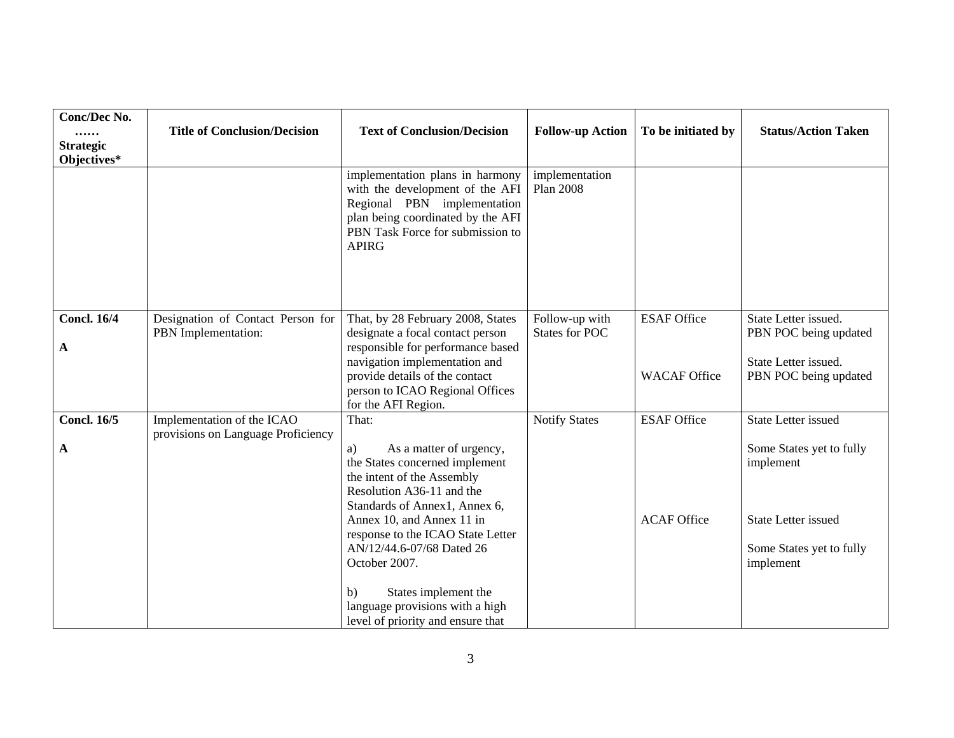| Conc/Dec No.<br><br><b>Strategic</b><br>Objectives* | <b>Title of Conclusion/Decision</b>                              | <b>Text of Conclusion/Decision</b>                                                                                                                                                                                                                                          | <b>Follow-up Action</b>                 | To be initiated by                        | <b>Status/Action Taken</b>                                                                                   |
|-----------------------------------------------------|------------------------------------------------------------------|-----------------------------------------------------------------------------------------------------------------------------------------------------------------------------------------------------------------------------------------------------------------------------|-----------------------------------------|-------------------------------------------|--------------------------------------------------------------------------------------------------------------|
|                                                     |                                                                  | implementation plans in harmony<br>with the development of the AFI<br>Regional PBN implementation<br>plan being coordinated by the AFI<br>PBN Task Force for submission to<br><b>APIRG</b>                                                                                  | implementation<br><b>Plan 2008</b>      |                                           |                                                                                                              |
| <b>Concl. 16/4</b><br>A                             | Designation of Contact Person for<br>PBN Implementation:         | That, by 28 February 2008, States<br>designate a focal contact person<br>responsible for performance based<br>navigation implementation and<br>provide details of the contact<br>person to ICAO Regional Offices<br>for the AFI Region.                                     | Follow-up with<br><b>States for POC</b> | <b>ESAF Office</b><br><b>WACAF Office</b> | State Letter issued.<br>PBN POC being updated<br>State Letter issued.<br>PBN POC being updated               |
| <b>Concl. 16/5</b>                                  | Implementation of the ICAO<br>provisions on Language Proficiency | That:                                                                                                                                                                                                                                                                       | <b>Notify States</b>                    | <b>ESAF Office</b>                        | <b>State Letter issued</b>                                                                                   |
| A                                                   |                                                                  | As a matter of urgency,<br>a)<br>the States concerned implement<br>the intent of the Assembly<br>Resolution A36-11 and the<br>Standards of Annex1, Annex 6,<br>Annex 10, and Annex 11 in<br>response to the ICAO State Letter<br>AN/12/44.6-07/68 Dated 26<br>October 2007. |                                         | <b>ACAF</b> Office                        | Some States yet to fully<br>implement<br><b>State Letter issued</b><br>Some States yet to fully<br>implement |
|                                                     |                                                                  | States implement the<br>b)<br>language provisions with a high<br>level of priority and ensure that                                                                                                                                                                          |                                         |                                           |                                                                                                              |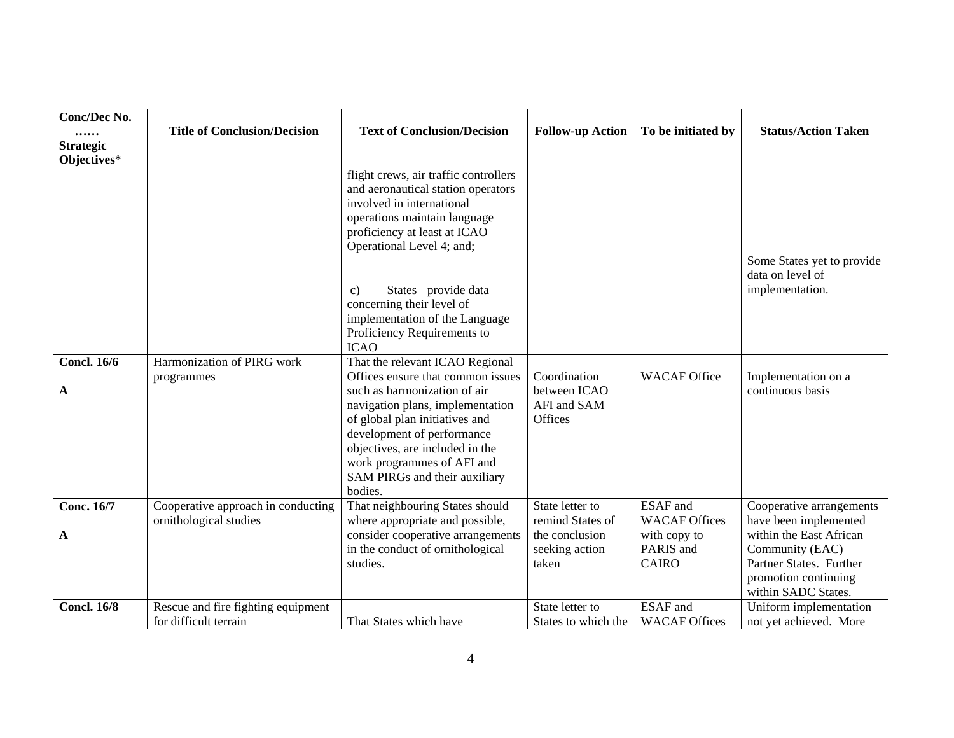| <b>Conc/Dec No.</b><br><br><b>Strategic</b><br>Objectives* | <b>Title of Conclusion/Decision</b>                          | <b>Text of Conclusion/Decision</b>                                                                                                                                                                                                                                                                                                                                                                                                                                                                                                                                                             | <b>Follow-up Action</b>                                                          | To be initiated by                                                                   | <b>Status/Action Taken</b>                                                                                                                                                |
|------------------------------------------------------------|--------------------------------------------------------------|------------------------------------------------------------------------------------------------------------------------------------------------------------------------------------------------------------------------------------------------------------------------------------------------------------------------------------------------------------------------------------------------------------------------------------------------------------------------------------------------------------------------------------------------------------------------------------------------|----------------------------------------------------------------------------------|--------------------------------------------------------------------------------------|---------------------------------------------------------------------------------------------------------------------------------------------------------------------------|
| <b>Concl. 16/6</b><br>A                                    | Harmonization of PIRG work<br>programmes                     | flight crews, air traffic controllers<br>and aeronautical station operators<br>involved in international<br>operations maintain language<br>proficiency at least at ICAO<br>Operational Level 4; and;<br>States provide data<br>c)<br>concerning their level of<br>implementation of the Language<br>Proficiency Requirements to<br><b>ICAO</b><br>That the relevant ICAO Regional<br>Offices ensure that common issues<br>such as harmonization of air<br>navigation plans, implementation<br>of global plan initiatives and<br>development of performance<br>objectives, are included in the | Coordination<br>between ICAO<br>AFI and SAM<br>Offices                           | <b>WACAF</b> Office                                                                  | Some States yet to provide<br>data on level of<br>implementation.<br>Implementation on a<br>continuous basis                                                              |
|                                                            |                                                              | work programmes of AFI and<br>SAM PIRGs and their auxiliary<br>bodies.                                                                                                                                                                                                                                                                                                                                                                                                                                                                                                                         |                                                                                  |                                                                                      |                                                                                                                                                                           |
| <b>Conc. 16/7</b><br>A                                     | Cooperative approach in conducting<br>ornithological studies | That neighbouring States should<br>where appropriate and possible,<br>consider cooperative arrangements<br>in the conduct of ornithological<br>studies.                                                                                                                                                                                                                                                                                                                                                                                                                                        | State letter to<br>remind States of<br>the conclusion<br>seeking action<br>taken | <b>ESAF</b> and<br><b>WACAF Offices</b><br>with copy to<br>PARIS and<br><b>CAIRO</b> | Cooperative arrangements<br>have been implemented<br>within the East African<br>Community (EAC)<br>Partner States. Further<br>promotion continuing<br>within SADC States. |
| <b>Concl. 16/8</b>                                         | Rescue and fire fighting equipment<br>for difficult terrain  | That States which have                                                                                                                                                                                                                                                                                                                                                                                                                                                                                                                                                                         | State letter to<br>States to which the                                           | <b>ESAF</b> and<br><b>WACAF Offices</b>                                              | Uniform implementation<br>not yet achieved. More                                                                                                                          |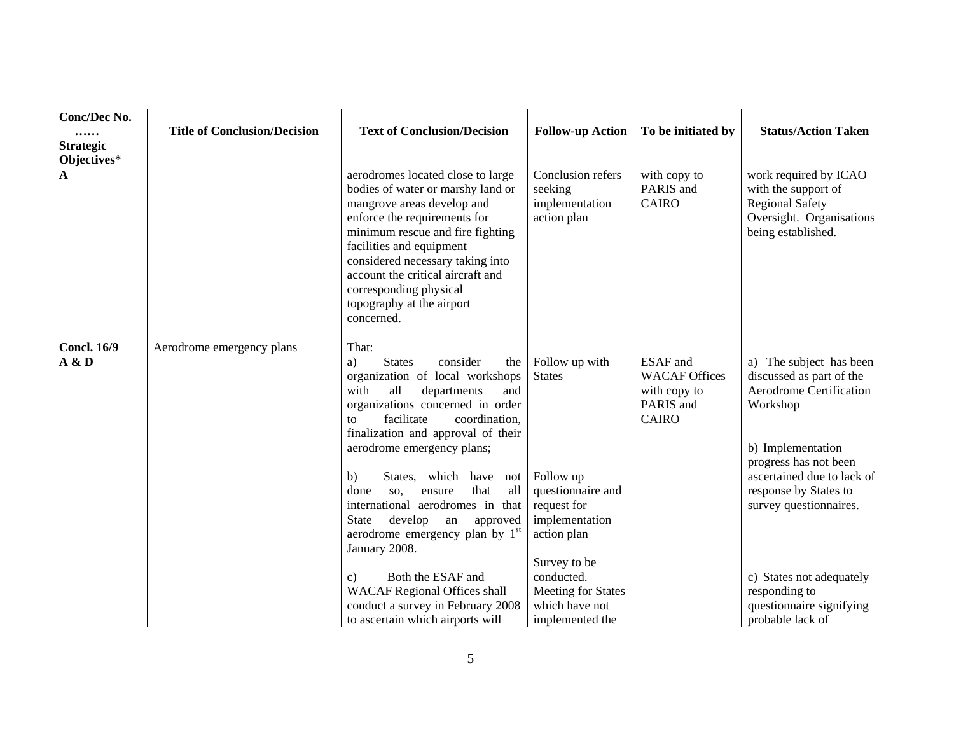| <b>Conc/Dec No.</b><br><br><b>Strategic</b><br>Objectives* | <b>Title of Conclusion/Decision</b> | <b>Text of Conclusion/Decision</b>                                                                                                                                                                                                                                                                                                                                                                                                                                                                                                                               | <b>Follow-up Action</b>                                                                                                                                                      | To be initiated by                                                                   | <b>Status/Action Taken</b>                                                                                                                                                                                                                                                    |
|------------------------------------------------------------|-------------------------------------|------------------------------------------------------------------------------------------------------------------------------------------------------------------------------------------------------------------------------------------------------------------------------------------------------------------------------------------------------------------------------------------------------------------------------------------------------------------------------------------------------------------------------------------------------------------|------------------------------------------------------------------------------------------------------------------------------------------------------------------------------|--------------------------------------------------------------------------------------|-------------------------------------------------------------------------------------------------------------------------------------------------------------------------------------------------------------------------------------------------------------------------------|
| A                                                          |                                     | aerodromes located close to large<br>bodies of water or marshy land or<br>mangrove areas develop and<br>enforce the requirements for<br>minimum rescue and fire fighting<br>facilities and equipment<br>considered necessary taking into<br>account the critical aircraft and<br>corresponding physical<br>topography at the airport<br>concerned.                                                                                                                                                                                                               | Conclusion refers<br>seeking<br>implementation<br>action plan                                                                                                                | with copy to<br>PARIS and<br><b>CAIRO</b>                                            | work required by ICAO<br>with the support of<br><b>Regional Safety</b><br>Oversight. Organisations<br>being established.                                                                                                                                                      |
| <b>Concl. 16/9</b><br>A & D                                | Aerodrome emergency plans           | That:<br><b>States</b><br>consider<br>a)<br>the<br>organization of local workshops<br>with<br>all<br>departments<br>and<br>organizations concerned in order<br>facilitate<br>coordination,<br>to<br>finalization and approval of their<br>aerodrome emergency plans;<br>States, which have not<br>b)<br>that<br>all<br>done<br>ensure<br>SO.<br>international aerodromes in that<br>develop<br>approved<br>State<br>${\rm an}$<br>aerodrome emergency plan by 1 <sup>st</sup><br>January 2008.<br>Both the ESAF and<br>c)<br><b>WACAF Regional Offices shall</b> | Follow up with<br><b>States</b><br>Follow up<br>questionnaire and<br>request for<br>implementation<br>action plan<br>Survey to be<br>conducted.<br><b>Meeting for States</b> | <b>ESAF</b> and<br><b>WACAF Offices</b><br>with copy to<br>PARIS and<br><b>CAIRO</b> | a) The subject has been<br>discussed as part of the<br><b>Aerodrome Certification</b><br>Workshop<br>b) Implementation<br>progress has not been<br>ascertained due to lack of<br>response by States to<br>survey questionnaires.<br>c) States not adequately<br>responding to |
|                                                            |                                     | conduct a survey in February 2008<br>to ascertain which airports will                                                                                                                                                                                                                                                                                                                                                                                                                                                                                            | which have not<br>implemented the                                                                                                                                            |                                                                                      | questionnaire signifying<br>probable lack of                                                                                                                                                                                                                                  |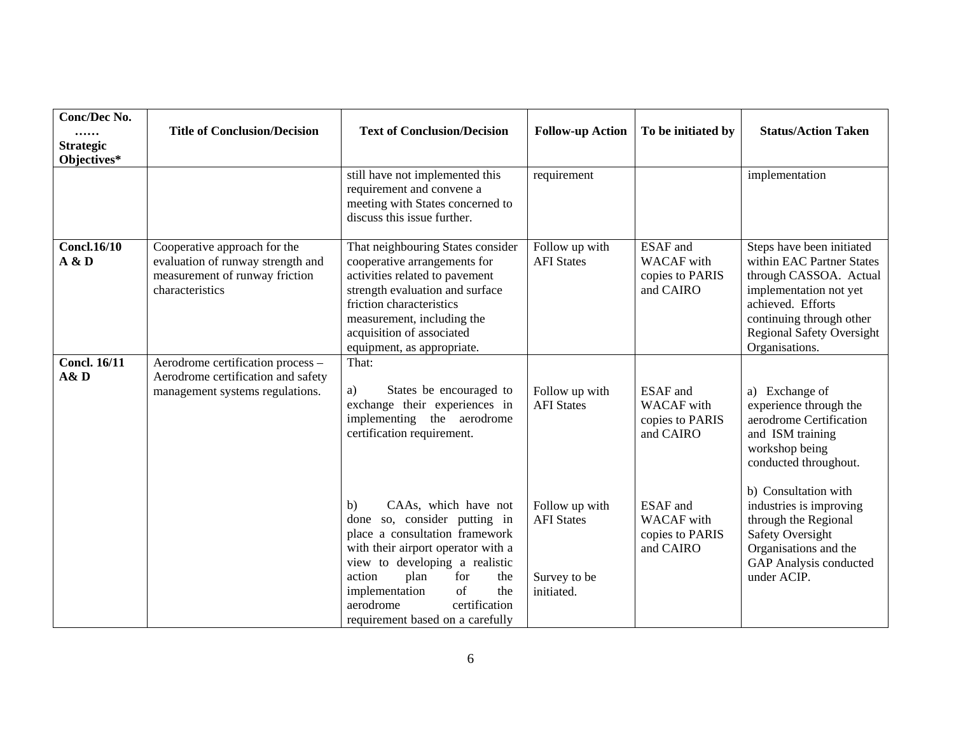| Conc/Dec No.<br><br><b>Strategic</b><br>Objectives* | <b>Title of Conclusion/Decision</b>                                                                                    | <b>Text of Conclusion/Decision</b>                                                                                                                                                                                                                                                                    | <b>Follow-up Action</b>                                           | To be initiated by                                                   | <b>Status/Action Taken</b>                                                                                                                                                                                        |
|-----------------------------------------------------|------------------------------------------------------------------------------------------------------------------------|-------------------------------------------------------------------------------------------------------------------------------------------------------------------------------------------------------------------------------------------------------------------------------------------------------|-------------------------------------------------------------------|----------------------------------------------------------------------|-------------------------------------------------------------------------------------------------------------------------------------------------------------------------------------------------------------------|
|                                                     |                                                                                                                        | still have not implemented this<br>requirement and convene a<br>meeting with States concerned to<br>discuss this issue further.                                                                                                                                                                       | requirement                                                       |                                                                      | implementation                                                                                                                                                                                                    |
| <b>Concl.16/10</b><br>A & D                         | Cooperative approach for the<br>evaluation of runway strength and<br>measurement of runway friction<br>characteristics | That neighbouring States consider<br>cooperative arrangements for<br>activities related to pavement<br>strength evaluation and surface<br>friction characteristics<br>measurement, including the<br>acquisition of associated<br>equipment, as appropriate.                                           | Follow up with<br><b>AFI</b> States                               | <b>ESAF</b> and<br><b>WACAF</b> with<br>copies to PARIS<br>and CAIRO | Steps have been initiated<br>within EAC Partner States<br>through CASSOA. Actual<br>implementation not yet<br>achieved. Efforts<br>continuing through other<br><b>Regional Safety Oversight</b><br>Organisations. |
| <b>Concl. 16/11</b><br>A&D                          | Aerodrome certification process -<br>Aerodrome certification and safety<br>management systems regulations.             | That:<br>States be encouraged to<br>a)<br>exchange their experiences in<br>implementing the aerodrome<br>certification requirement.                                                                                                                                                                   | Follow up with<br><b>AFI</b> States                               | <b>ESAF</b> and<br><b>WACAF</b> with<br>copies to PARIS<br>and CAIRO | a) Exchange of<br>experience through the<br>aerodrome Certification<br>and ISM training<br>workshop being<br>conducted throughout.                                                                                |
|                                                     |                                                                                                                        | CAAs, which have not<br>b)<br>done so, consider putting in<br>place a consultation framework<br>with their airport operator with a<br>view to developing a realistic<br>action<br>plan<br>the<br>for<br>of<br>the<br>implementation<br>aerodrome<br>certification<br>requirement based on a carefully | Follow up with<br><b>AFI</b> States<br>Survey to be<br>initiated. | <b>ESAF</b> and<br><b>WACAF</b> with<br>copies to PARIS<br>and CAIRO | b) Consultation with<br>industries is improving<br>through the Regional<br><b>Safety Oversight</b><br>Organisations and the<br>GAP Analysis conducted<br>under ACIP.                                              |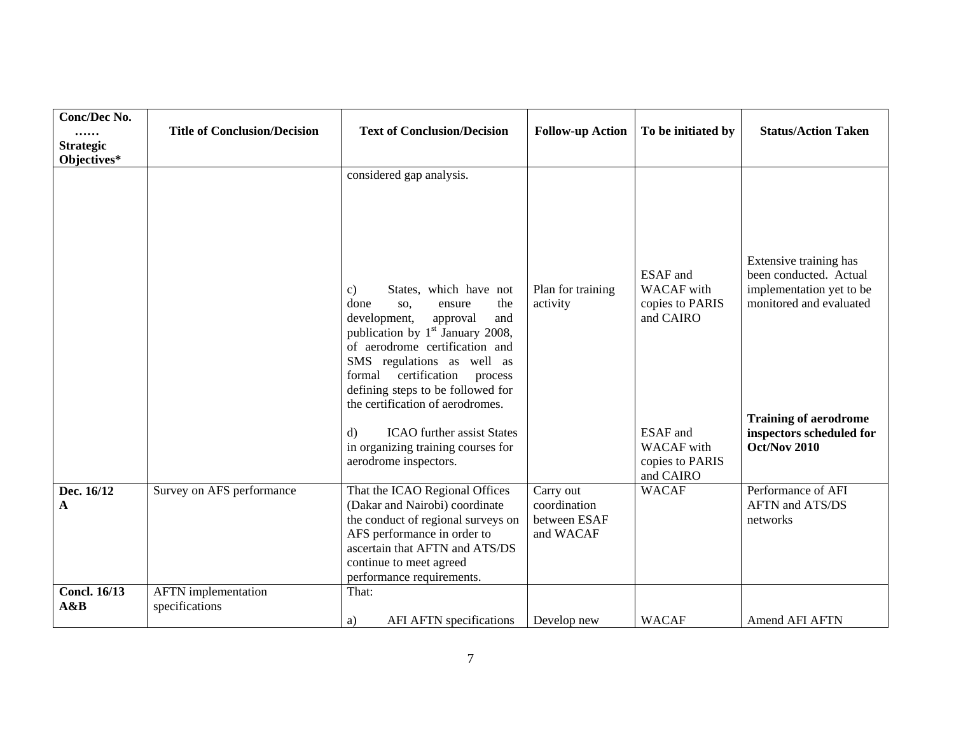| <b>Conc/Dec No.</b><br><br><b>Strategic</b><br>Objectives* | <b>Title of Conclusion/Decision</b>          | <b>Text of Conclusion/Decision</b>                                                                                                                                                                                                                                                                                                                                                                                                                              | <b>Follow-up Action</b>                                | To be initiated by                                                                                                                           | <b>Status/Action Taken</b>                                                                                                                                                                 |
|------------------------------------------------------------|----------------------------------------------|-----------------------------------------------------------------------------------------------------------------------------------------------------------------------------------------------------------------------------------------------------------------------------------------------------------------------------------------------------------------------------------------------------------------------------------------------------------------|--------------------------------------------------------|----------------------------------------------------------------------------------------------------------------------------------------------|--------------------------------------------------------------------------------------------------------------------------------------------------------------------------------------------|
|                                                            |                                              | considered gap analysis.<br>States, which have not<br>c)<br>done<br>the<br>SO,<br>ensure<br>and<br>development,<br>approval<br>publication by $1st$ January 2008,<br>of aerodrome certification and<br>SMS regulations as well as<br>certification<br>formal<br>process<br>defining steps to be followed for<br>the certification of aerodromes.<br><b>ICAO</b> further assist States<br>$\rm d$<br>in organizing training courses for<br>aerodrome inspectors. | Plan for training<br>activity                          | <b>ESAF</b> and<br><b>WACAF</b> with<br>copies to PARIS<br>and CAIRO<br><b>ESAF</b> and<br><b>WACAF</b> with<br>copies to PARIS<br>and CAIRO | Extensive training has<br>been conducted. Actual<br>implementation yet to be<br>monitored and evaluated<br><b>Training of aerodrome</b><br>inspectors scheduled for<br><b>Oct/Nov 2010</b> |
| Dec. 16/12<br>A                                            | Survey on AFS performance                    | That the ICAO Regional Offices<br>(Dakar and Nairobi) coordinate<br>the conduct of regional surveys on<br>AFS performance in order to<br>ascertain that AFTN and ATS/DS<br>continue to meet agreed<br>performance requirements.                                                                                                                                                                                                                                 | Carry out<br>coordination<br>between ESAF<br>and WACAF | <b>WACAF</b>                                                                                                                                 | Performance of AFI<br>AFTN and ATS/DS<br>networks                                                                                                                                          |
| <b>Concl. 16/13</b><br>A&B                                 | <b>AFTN</b> implementation<br>specifications | That:<br>AFI AFTN specifications<br>a)                                                                                                                                                                                                                                                                                                                                                                                                                          | Develop new                                            | <b>WACAF</b>                                                                                                                                 | Amend AFI AFTN                                                                                                                                                                             |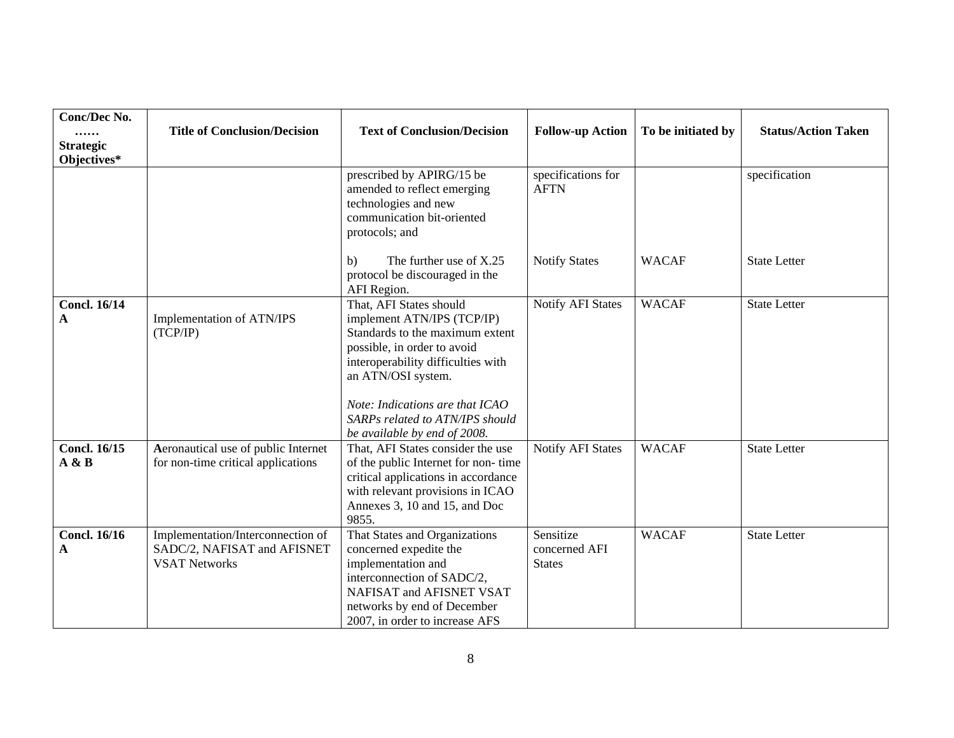| Conc/Dec No.<br><br><b>Strategic</b><br>Objectives* | <b>Title of Conclusion/Decision</b>                                                      | <b>Text of Conclusion/Decision</b>                                                                                                                                                                                                                                                        | <b>Follow-up Action</b>                     | To be initiated by | <b>Status/Action Taken</b> |
|-----------------------------------------------------|------------------------------------------------------------------------------------------|-------------------------------------------------------------------------------------------------------------------------------------------------------------------------------------------------------------------------------------------------------------------------------------------|---------------------------------------------|--------------------|----------------------------|
|                                                     |                                                                                          | prescribed by APIRG/15 be<br>amended to reflect emerging<br>technologies and new<br>communication bit-oriented<br>protocols; and                                                                                                                                                          | specifications for<br><b>AFTN</b>           |                    | specification              |
|                                                     |                                                                                          | The further use of X.25<br>b)<br>protocol be discouraged in the<br>AFI Region.                                                                                                                                                                                                            | <b>Notify States</b>                        | <b>WACAF</b>       | <b>State Letter</b>        |
| <b>Concl. 16/14</b><br>A                            | Implementation of ATN/IPS<br>(TCP/IP)                                                    | That, AFI States should<br>implement ATN/IPS (TCP/IP)<br>Standards to the maximum extent<br>possible, in order to avoid<br>interoperability difficulties with<br>an ATN/OSI system.<br>Note: Indications are that ICAO<br>SARPs related to ATN/IPS should<br>be available by end of 2008. | <b>Notify AFI States</b>                    | <b>WACAF</b>       | <b>State Letter</b>        |
| <b>Concl. 16/15</b><br>A & B                        | Aeronautical use of public Internet<br>for non-time critical applications                | That, AFI States consider the use<br>of the public Internet for non-time<br>critical applications in accordance<br>with relevant provisions in ICAO<br>Annexes 3, 10 and 15, and Doc<br>9855.                                                                                             | <b>Notify AFI States</b>                    | <b>WACAF</b>       | <b>State Letter</b>        |
| <b>Concl. 16/16</b><br>A                            | Implementation/Interconnection of<br>SADC/2, NAFISAT and AFISNET<br><b>VSAT Networks</b> | That States and Organizations<br>concerned expedite the<br>implementation and<br>interconnection of SADC/2,<br>NAFISAT and AFISNET VSAT<br>networks by end of December<br>2007, in order to increase AFS                                                                                  | Sensitize<br>concerned AFI<br><b>States</b> | <b>WACAF</b>       | <b>State Letter</b>        |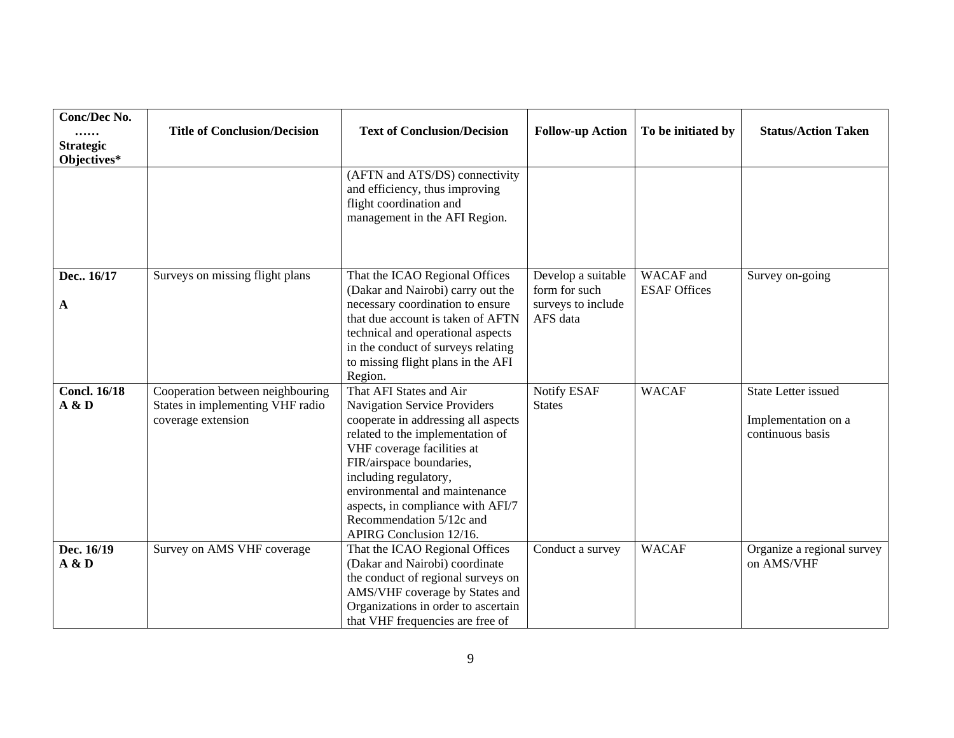| Conc/Dec No.<br><br><b>Strategic</b> | <b>Title of Conclusion/Decision</b>                                                        | <b>Text of Conclusion/Decision</b>                                                                                                                                                                                                                                                                                                                 | <b>Follow-up Action</b>                                   | To be initiated by               | <b>Status/Action Taken</b>                                            |
|--------------------------------------|--------------------------------------------------------------------------------------------|----------------------------------------------------------------------------------------------------------------------------------------------------------------------------------------------------------------------------------------------------------------------------------------------------------------------------------------------------|-----------------------------------------------------------|----------------------------------|-----------------------------------------------------------------------|
| Objectives*                          |                                                                                            |                                                                                                                                                                                                                                                                                                                                                    |                                                           |                                  |                                                                       |
|                                      |                                                                                            | (AFTN and ATS/DS) connectivity<br>and efficiency, thus improving<br>flight coordination and<br>management in the AFI Region.                                                                                                                                                                                                                       |                                                           |                                  |                                                                       |
| Dec., 16/17<br>A                     | Surveys on missing flight plans                                                            | That the ICAO Regional Offices<br>(Dakar and Nairobi) carry out the<br>necessary coordination to ensure                                                                                                                                                                                                                                            | Develop a suitable<br>form for such<br>surveys to include | WACAF and<br><b>ESAF Offices</b> | Survey on-going                                                       |
|                                      |                                                                                            | that due account is taken of AFTN<br>technical and operational aspects<br>in the conduct of surveys relating<br>to missing flight plans in the AFI<br>Region.                                                                                                                                                                                      | AFS data                                                  |                                  |                                                                       |
| <b>Concl. 16/18</b><br>A & D         | Cooperation between neighbouring<br>States in implementing VHF radio<br>coverage extension | That AFI States and Air<br>Navigation Service Providers<br>cooperate in addressing all aspects<br>related to the implementation of<br>VHF coverage facilities at<br>FIR/airspace boundaries,<br>including regulatory,<br>environmental and maintenance<br>aspects, in compliance with AFI/7<br>Recommendation 5/12c and<br>APIRG Conclusion 12/16. | Notify ESAF<br><b>States</b>                              | <b>WACAF</b>                     | <b>State Letter issued</b><br>Implementation on a<br>continuous basis |
| Dec. 16/19<br>A & D                  | Survey on AMS VHF coverage                                                                 | That the ICAO Regional Offices<br>(Dakar and Nairobi) coordinate<br>the conduct of regional surveys on<br>AMS/VHF coverage by States and<br>Organizations in order to ascertain<br>that VHF frequencies are free of                                                                                                                                | Conduct a survey                                          | <b>WACAF</b>                     | Organize a regional survey<br>on AMS/VHF                              |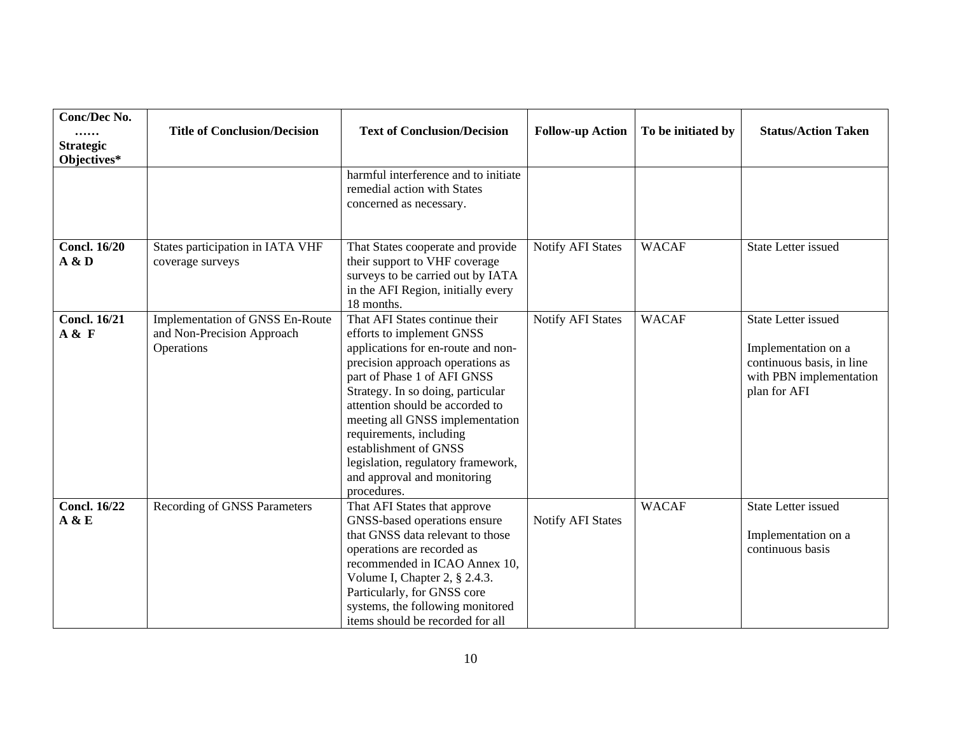| <b>Conc/Dec No.</b><br><br><b>Strategic</b><br>Objectives* | <b>Title of Conclusion/Decision</b>                                         | <b>Text of Conclusion/Decision</b>                                                                                                                                                                                                                                                                                                                                                                                      | <b>Follow-up Action</b>  | To be initiated by | <b>Status/Action Taken</b>                                                                                                |
|------------------------------------------------------------|-----------------------------------------------------------------------------|-------------------------------------------------------------------------------------------------------------------------------------------------------------------------------------------------------------------------------------------------------------------------------------------------------------------------------------------------------------------------------------------------------------------------|--------------------------|--------------------|---------------------------------------------------------------------------------------------------------------------------|
|                                                            |                                                                             | harmful interference and to initiate<br>remedial action with States<br>concerned as necessary.                                                                                                                                                                                                                                                                                                                          |                          |                    |                                                                                                                           |
| <b>Concl. 16/20</b><br>A & D                               | States participation in IATA VHF<br>coverage surveys                        | That States cooperate and provide<br>their support to VHF coverage<br>surveys to be carried out by IATA<br>in the AFI Region, initially every<br>18 months.                                                                                                                                                                                                                                                             | Notify AFI States        | <b>WACAF</b>       | <b>State Letter issued</b>                                                                                                |
| <b>Concl. 16/21</b><br>A & F                               | Implementation of GNSS En-Route<br>and Non-Precision Approach<br>Operations | That AFI States continue their<br>efforts to implement GNSS<br>applications for en-route and non-<br>precision approach operations as<br>part of Phase 1 of AFI GNSS<br>Strategy. In so doing, particular<br>attention should be accorded to<br>meeting all GNSS implementation<br>requirements, including<br>establishment of GNSS<br>legislation, regulatory framework,<br>and approval and monitoring<br>procedures. | <b>Notify AFI States</b> | <b>WACAF</b>       | <b>State Letter issued</b><br>Implementation on a<br>continuous basis, in line<br>with PBN implementation<br>plan for AFI |
| <b>Concl. 16/22</b><br>A & E                               | Recording of GNSS Parameters                                                | That AFI States that approve<br>GNSS-based operations ensure<br>that GNSS data relevant to those<br>operations are recorded as<br>recommended in ICAO Annex 10,<br>Volume I, Chapter 2, § 2.4.3.<br>Particularly, for GNSS core<br>systems, the following monitored<br>items should be recorded for all                                                                                                                 | <b>Notify AFI States</b> | <b>WACAF</b>       | <b>State Letter issued</b><br>Implementation on a<br>continuous basis                                                     |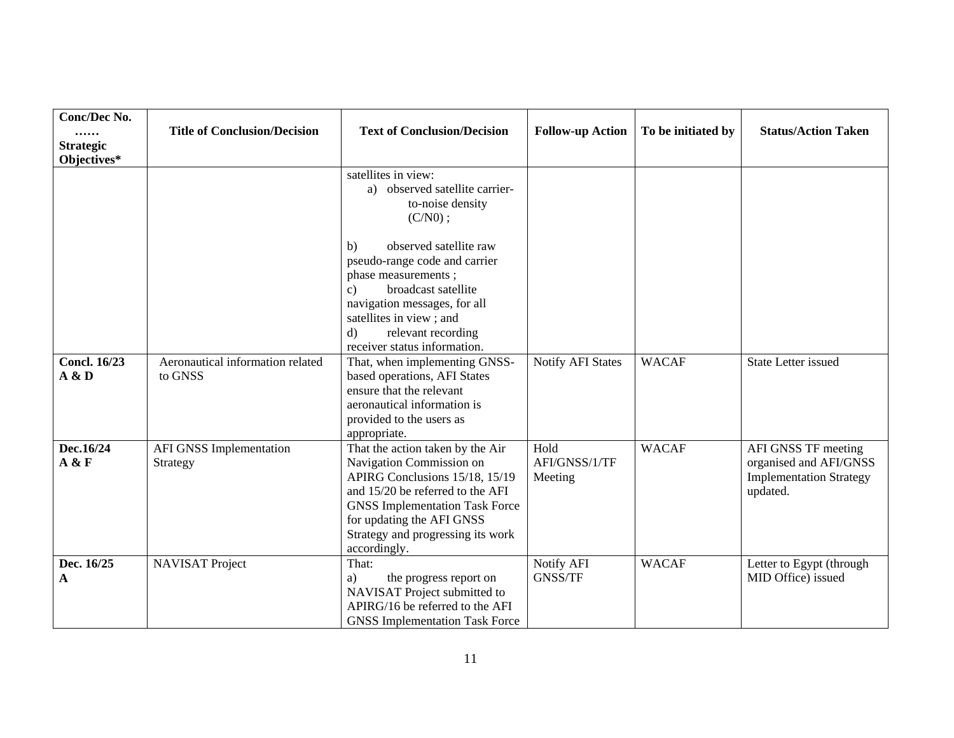| Conc/Dec No.<br><br><b>Strategic</b><br>Objectives* | <b>Title of Conclusion/Decision</b>         | <b>Text of Conclusion/Decision</b>                                                                                                                                                                                                                            | <b>Follow-up Action</b>          | To be initiated by | <b>Status/Action Taken</b>                                                                  |
|-----------------------------------------------------|---------------------------------------------|---------------------------------------------------------------------------------------------------------------------------------------------------------------------------------------------------------------------------------------------------------------|----------------------------------|--------------------|---------------------------------------------------------------------------------------------|
|                                                     |                                             | satellites in view:<br>a) observed satellite carrier-<br>to-noise density<br>$(C/N0)$ ;                                                                                                                                                                       |                                  |                    |                                                                                             |
|                                                     |                                             | observed satellite raw<br>b)<br>pseudo-range code and carrier<br>phase measurements;<br>broadcast satellite<br>c)<br>navigation messages, for all<br>satellites in view; and<br>relevant recording<br>d)<br>receiver status information.                      |                                  |                    |                                                                                             |
| <b>Concl. 16/23</b><br>A & D                        | Aeronautical information related<br>to GNSS | That, when implementing GNSS-<br>based operations, AFI States<br>ensure that the relevant<br>aeronautical information is<br>provided to the users as<br>appropriate.                                                                                          | <b>Notify AFI States</b>         | <b>WACAF</b>       | <b>State Letter issued</b>                                                                  |
| Dec.16/24<br>A & F                                  | <b>AFI GNSS Implementation</b><br>Strategy  | That the action taken by the Air<br>Navigation Commission on<br>APIRG Conclusions 15/18, 15/19<br>and 15/20 be referred to the AFI<br><b>GNSS Implementation Task Force</b><br>for updating the AFI GNSS<br>Strategy and progressing its work<br>accordingly. | Hold<br>AFI/GNSS/1/TF<br>Meeting | <b>WACAF</b>       | AFI GNSS TF meeting<br>organised and AFI/GNSS<br><b>Implementation Strategy</b><br>updated. |
| Dec. 16/25<br>A                                     | <b>NAVISAT Project</b>                      | That:<br>the progress report on<br>a)<br>NAVISAT Project submitted to<br>APIRG/16 be referred to the AFI<br><b>GNSS</b> Implementation Task Force                                                                                                             | Notify AFI<br><b>GNSS/TF</b>     | <b>WACAF</b>       | Letter to Egypt (through<br>MID Office) issued                                              |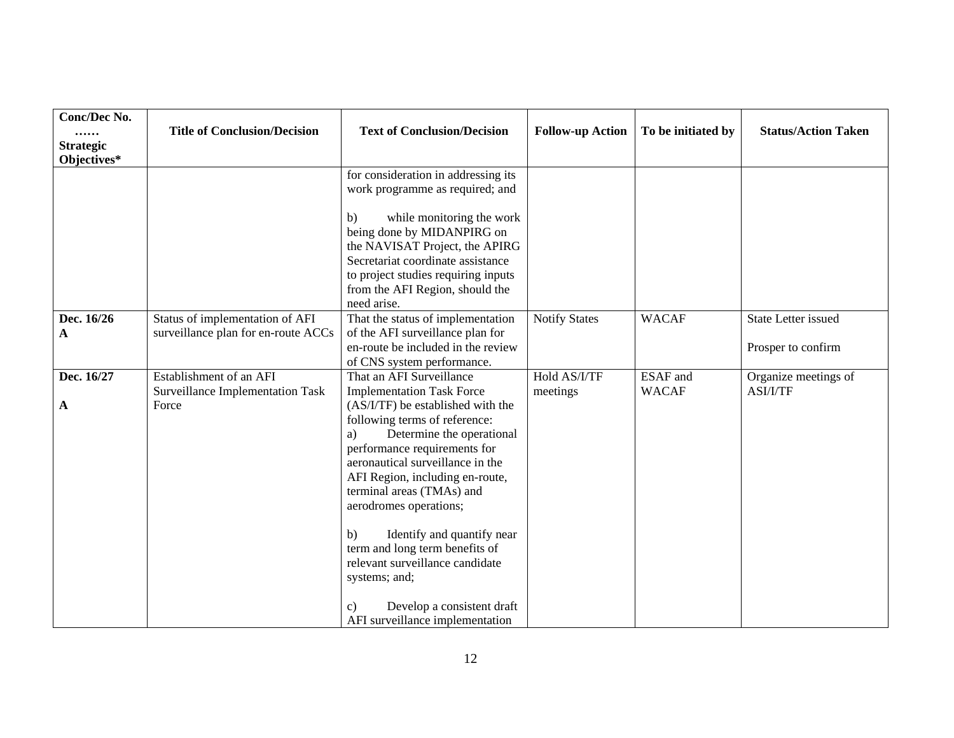| Conc/Dec No.<br><br><b>Strategic</b><br>Objectives* | <b>Title of Conclusion/Decision</b>                                         | <b>Text of Conclusion/Decision</b>                                                                                                                                                                                                                                                                                                                                                                                                                                                                          | <b>Follow-up Action</b>  | To be initiated by              | <b>Status/Action Taken</b>                       |
|-----------------------------------------------------|-----------------------------------------------------------------------------|-------------------------------------------------------------------------------------------------------------------------------------------------------------------------------------------------------------------------------------------------------------------------------------------------------------------------------------------------------------------------------------------------------------------------------------------------------------------------------------------------------------|--------------------------|---------------------------------|--------------------------------------------------|
|                                                     |                                                                             | for consideration in addressing its<br>work programme as required; and<br>while monitoring the work<br>$\mathbf{b}$<br>being done by MIDANPIRG on<br>the NAVISAT Project, the APIRG<br>Secretariat coordinate assistance<br>to project studies requiring inputs                                                                                                                                                                                                                                             |                          |                                 |                                                  |
|                                                     |                                                                             | from the AFI Region, should the<br>need arise.                                                                                                                                                                                                                                                                                                                                                                                                                                                              |                          |                                 |                                                  |
| Dec. 16/26<br>A                                     | Status of implementation of AFI<br>surveillance plan for en-route ACCs      | That the status of implementation<br>of the AFI surveillance plan for<br>en-route be included in the review<br>of CNS system performance.                                                                                                                                                                                                                                                                                                                                                                   | <b>Notify States</b>     | <b>WACAF</b>                    | <b>State Letter issued</b><br>Prosper to confirm |
| Dec. 16/27<br>A                                     | Establishment of an AFI<br><b>Surveillance Implementation Task</b><br>Force | That an AFI Surveillance<br><b>Implementation Task Force</b><br>(AS/I/TF) be established with the<br>following terms of reference:<br>Determine the operational<br>a)<br>performance requirements for<br>aeronautical surveillance in the<br>AFI Region, including en-route,<br>terminal areas (TMAs) and<br>aerodromes operations;<br>Identify and quantify near<br>$\mathbf{b}$<br>term and long term benefits of<br>relevant surveillance candidate<br>systems; and;<br>Develop a consistent draft<br>c) | Hold AS/I/TF<br>meetings | <b>ESAF</b> and<br><b>WACAF</b> | Organize meetings of<br>ASI/I/TF                 |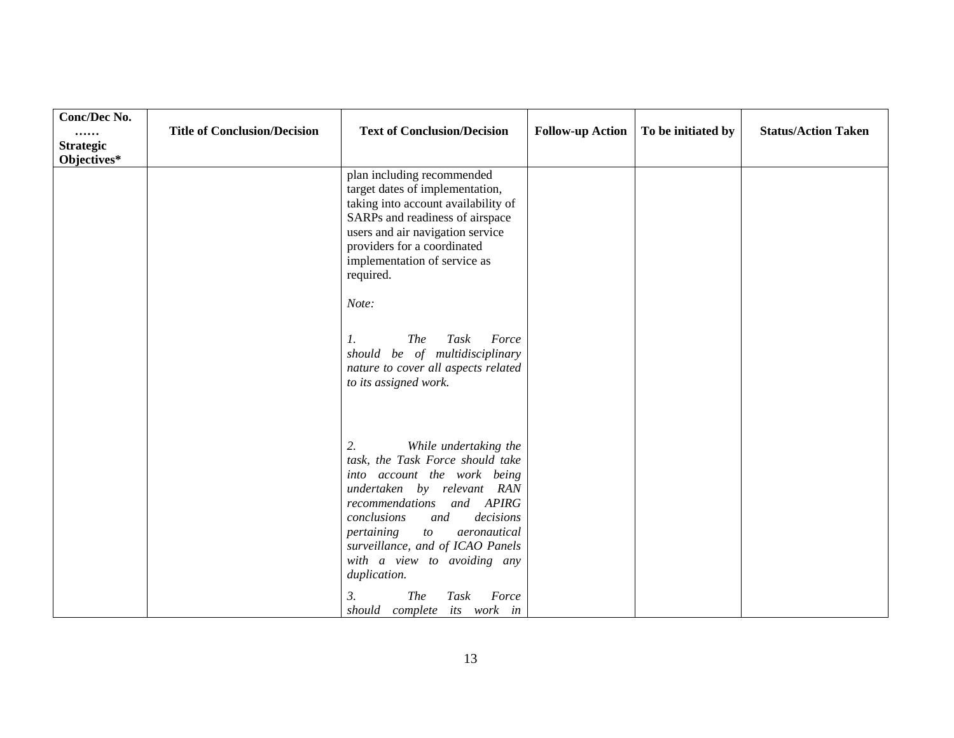| Conc/Dec No.<br><br><b>Strategic</b><br>Objectives* | <b>Title of Conclusion/Decision</b> | <b>Text of Conclusion/Decision</b>                                                                                                                                                                                                                                                                                                                                                                                  | <b>Follow-up Action</b> | To be initiated by | <b>Status/Action Taken</b> |
|-----------------------------------------------------|-------------------------------------|---------------------------------------------------------------------------------------------------------------------------------------------------------------------------------------------------------------------------------------------------------------------------------------------------------------------------------------------------------------------------------------------------------------------|-------------------------|--------------------|----------------------------|
|                                                     |                                     | plan including recommended<br>target dates of implementation,<br>taking into account availability of<br>SARPs and readiness of airspace<br>users and air navigation service<br>providers for a coordinated<br>implementation of service as<br>required.<br>Note:<br><b>The</b><br>Task<br>Force<br>$\mathbf{I}$ .<br>should be of multidisciplinary<br>nature to cover all aspects related<br>to its assigned work. |                         |                    |                            |
|                                                     |                                     | While undertaking the<br>2.<br>task, the Task Force should take<br>into account the work being<br>undertaken by relevant RAN<br>recommendations and APIRG<br>decisions<br>conclusions<br>and<br>pertaining<br>aeronautical<br>to<br>surveillance, and of ICAO Panels<br>with a view to avoiding any<br>duplication.<br><b>The</b><br>Force<br>3.<br>Task<br>should complete its work in                             |                         |                    |                            |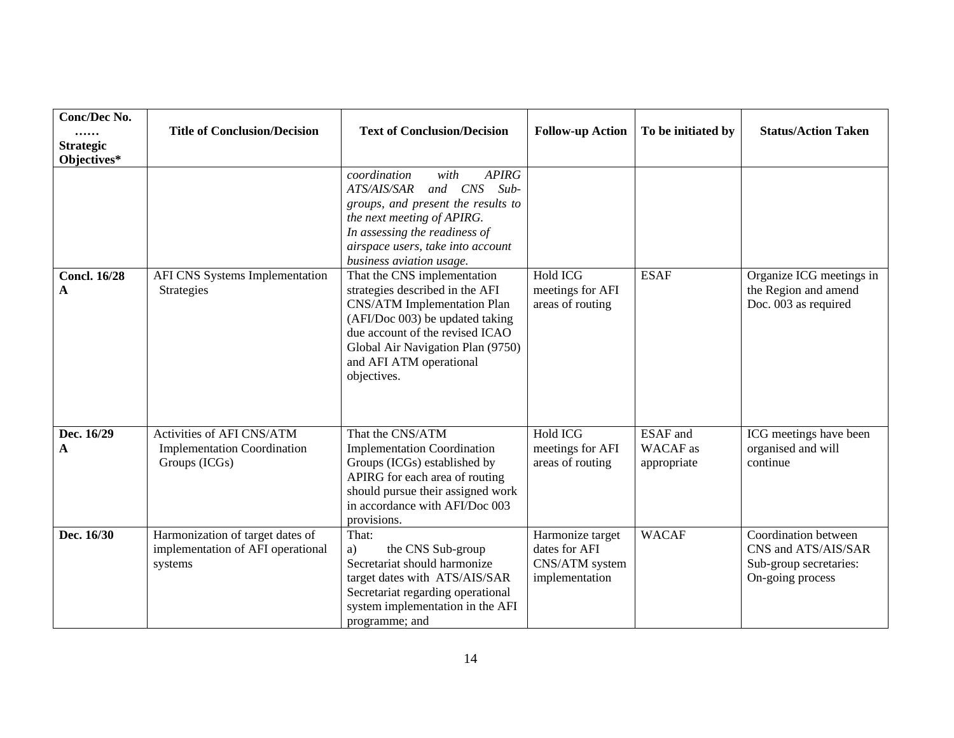| Conc/Dec No.<br><br><b>Strategic</b><br>Objectives* | <b>Title of Conclusion/Decision</b>                                              | <b>Text of Conclusion/Decision</b>                                                                                                                                                                                                                        | <b>Follow-up Action</b>                                               | To be initiated by                         | <b>Status/Action Taken</b>                                                                |
|-----------------------------------------------------|----------------------------------------------------------------------------------|-----------------------------------------------------------------------------------------------------------------------------------------------------------------------------------------------------------------------------------------------------------|-----------------------------------------------------------------------|--------------------------------------------|-------------------------------------------------------------------------------------------|
|                                                     |                                                                                  | <b>APIRG</b><br>coordination<br>with<br>and CNS<br>$Sub-$<br>ATS/AIS/SAR<br>groups, and present the results to<br>the next meeting of APIRG.<br>In assessing the readiness of<br>airspace users, take into account<br>business aviation usage.            |                                                                       |                                            |                                                                                           |
| <b>Concl. 16/28</b><br>A                            | AFI CNS Systems Implementation<br><b>Strategies</b>                              | That the CNS implementation<br>strategies described in the AFI<br><b>CNS/ATM</b> Implementation Plan<br>(AFI/Doc 003) be updated taking<br>due account of the revised ICAO<br>Global Air Navigation Plan (9750)<br>and AFI ATM operational<br>objectives. | Hold ICG<br>meetings for AFI<br>areas of routing                      | <b>ESAF</b>                                | Organize ICG meetings in<br>the Region and amend<br>Doc. 003 as required                  |
| Dec. 16/29<br>A                                     | Activities of AFI CNS/ATM<br><b>Implementation Coordination</b><br>Groups (ICGs) | That the CNS/ATM<br><b>Implementation Coordination</b><br>Groups (ICGs) established by<br>APIRG for each area of routing<br>should pursue their assigned work<br>in accordance with AFI/Doc 003<br>provisions.                                            | Hold ICG<br>meetings for AFI<br>areas of routing                      | <b>ESAF</b> and<br>WACAF as<br>appropriate | ICG meetings have been<br>organised and will<br>continue                                  |
| Dec. 16/30                                          | Harmonization of target dates of<br>implementation of AFI operational<br>systems | That:<br>the CNS Sub-group<br>a)<br>Secretariat should harmonize<br>target dates with ATS/AIS/SAR<br>Secretariat regarding operational<br>system implementation in the AFI<br>programme; and                                                              | Harmonize target<br>dates for AFI<br>CNS/ATM system<br>implementation | <b>WACAF</b>                               | Coordination between<br>CNS and ATS/AIS/SAR<br>Sub-group secretaries:<br>On-going process |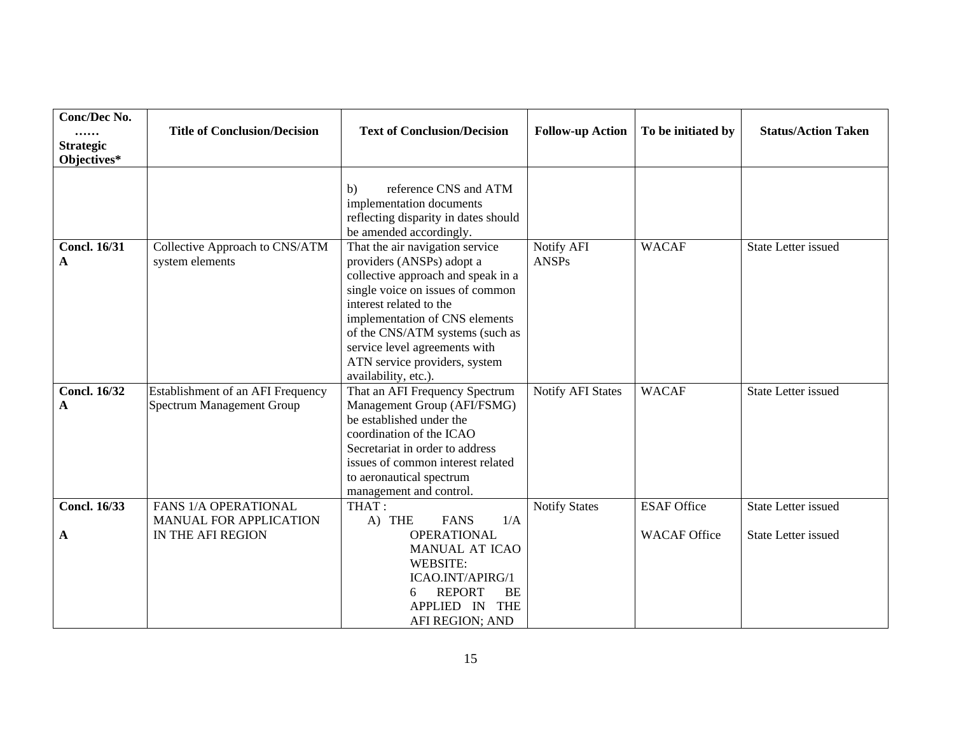| Conc/Dec No.<br><br><b>Strategic</b><br>Objectives* | <b>Title of Conclusion/Decision</b>                                   | <b>Text of Conclusion/Decision</b>                                                                                                                                                                                                                                                                                               | <b>Follow-up Action</b>    | To be initiated by  | <b>Status/Action Taken</b> |
|-----------------------------------------------------|-----------------------------------------------------------------------|----------------------------------------------------------------------------------------------------------------------------------------------------------------------------------------------------------------------------------------------------------------------------------------------------------------------------------|----------------------------|---------------------|----------------------------|
|                                                     |                                                                       | reference CNS and ATM<br>b)<br>implementation documents<br>reflecting disparity in dates should<br>be amended accordingly.                                                                                                                                                                                                       |                            |                     |                            |
| <b>Concl. 16/31</b><br>A                            | Collective Approach to CNS/ATM<br>system elements                     | That the air navigation service<br>providers (ANSPs) adopt a<br>collective approach and speak in a<br>single voice on issues of common<br>interest related to the<br>implementation of CNS elements<br>of the CNS/ATM systems (such as<br>service level agreements with<br>ATN service providers, system<br>availability, etc.). | Notify AFI<br><b>ANSPs</b> | <b>WACAF</b>        | <b>State Letter issued</b> |
| <b>Concl. 16/32</b><br>A                            | Establishment of an AFI Frequency<br><b>Spectrum Management Group</b> | That an AFI Frequency Spectrum<br>Management Group (AFI/FSMG)<br>be established under the<br>coordination of the ICAO<br>Secretariat in order to address<br>issues of common interest related<br>to aeronautical spectrum<br>management and control.                                                                             | <b>Notify AFI States</b>   | <b>WACAF</b>        | <b>State Letter issued</b> |
| <b>Concl. 16/33</b>                                 | FANS 1/A OPERATIONAL<br>MANUAL FOR APPLICATION                        | THAT:<br>A) THE<br><b>FANS</b><br>1/A                                                                                                                                                                                                                                                                                            | <b>Notify States</b>       | <b>ESAF Office</b>  | <b>State Letter issued</b> |
| A                                                   | IN THE AFI REGION                                                     | <b>OPERATIONAL</b><br>MANUAL AT ICAO<br>WEBSITE:<br>ICAO.INT/APIRG/1<br><b>REPORT</b><br>BE<br>6<br>APPLIED IN THE<br>AFI REGION; AND                                                                                                                                                                                            |                            | <b>WACAF Office</b> | <b>State Letter issued</b> |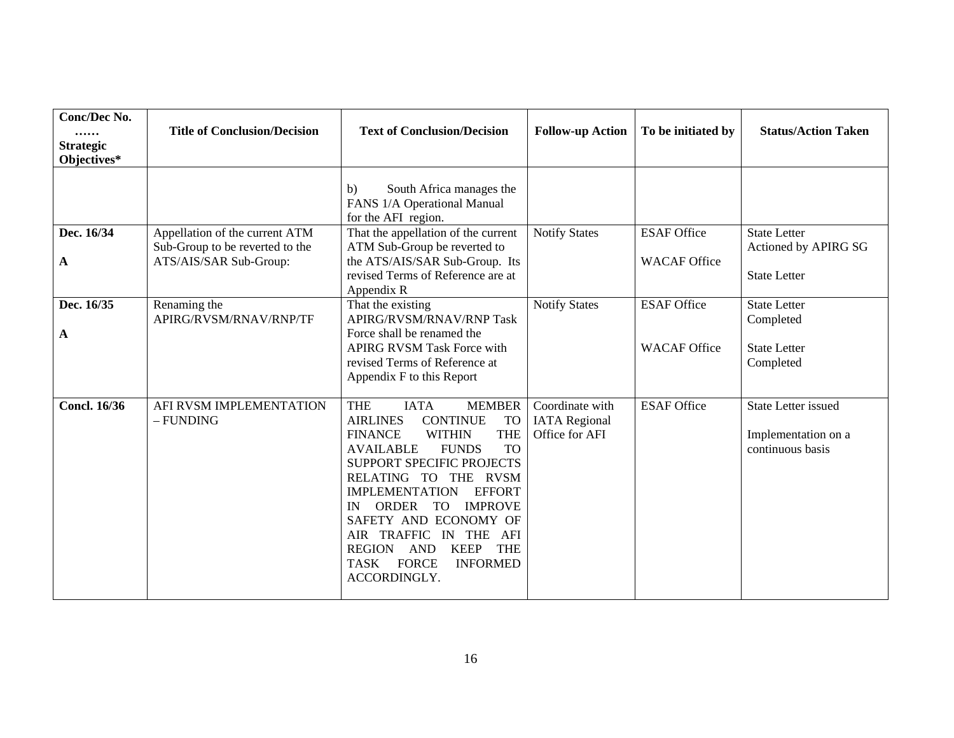| Conc/Dec No.<br><br><b>Strategic</b><br>Objectives* | <b>Title of Conclusion/Decision</b>                                                         | <b>Text of Conclusion/Decision</b>                                                                                                                                                                                                                                                                                                                                                                                                                                                          | <b>Follow-up Action</b>                                   | To be initiated by                        | <b>Status/Action Taken</b>                                            |
|-----------------------------------------------------|---------------------------------------------------------------------------------------------|---------------------------------------------------------------------------------------------------------------------------------------------------------------------------------------------------------------------------------------------------------------------------------------------------------------------------------------------------------------------------------------------------------------------------------------------------------------------------------------------|-----------------------------------------------------------|-------------------------------------------|-----------------------------------------------------------------------|
|                                                     |                                                                                             | South Africa manages the<br>b)<br>FANS 1/A Operational Manual<br>for the AFI region.                                                                                                                                                                                                                                                                                                                                                                                                        |                                                           |                                           |                                                                       |
| Dec. 16/34<br>A                                     | Appellation of the current ATM<br>Sub-Group to be reverted to the<br>ATS/AIS/SAR Sub-Group: | That the appellation of the current<br>ATM Sub-Group be reverted to<br>the ATS/AIS/SAR Sub-Group. Its<br>revised Terms of Reference are at<br>Appendix R                                                                                                                                                                                                                                                                                                                                    | <b>Notify States</b>                                      | <b>ESAF Office</b><br><b>WACAF Office</b> | <b>State Letter</b><br>Actioned by APIRG SG<br><b>State Letter</b>    |
| Dec. 16/35<br>A                                     | Renaming the<br>APIRG/RVSM/RNAV/RNP/TF                                                      | That the existing<br>APIRG/RVSM/RNAV/RNP Task<br>Force shall be renamed the<br><b>APIRG RVSM Task Force with</b><br>revised Terms of Reference at<br>Appendix F to this Report                                                                                                                                                                                                                                                                                                              | <b>Notify States</b>                                      | <b>ESAF Office</b><br><b>WACAF Office</b> | <b>State Letter</b><br>Completed<br><b>State Letter</b><br>Completed  |
| <b>Concl. 16/36</b>                                 | AFI RVSM IMPLEMENTATION<br>- FUNDING                                                        | <b>THE</b><br><b>IATA</b><br><b>MEMBER</b><br><b>AIRLINES</b><br><b>CONTINUE</b><br><b>TO</b><br><b>THE</b><br><b>FINANCE</b><br><b>WITHIN</b><br><b>AVAILABLE</b><br><b>FUNDS</b><br><b>TO</b><br>SUPPORT SPECIFIC PROJECTS<br>RELATING TO THE RVSM<br><b>EFFORT</b><br><b>IMPLEMENTATION</b><br>ORDER<br><b>TO</b><br><b>IMPROVE</b><br>IN<br>SAFETY AND ECONOMY OF<br>AIR TRAFFIC IN THE AFI<br><b>KEEP</b><br><b>THE</b><br>REGION AND<br>TASK FORCE<br><b>INFORMED</b><br>ACCORDINGLY. | Coordinate with<br><b>IATA</b> Regional<br>Office for AFI | <b>ESAF Office</b>                        | <b>State Letter issued</b><br>Implementation on a<br>continuous basis |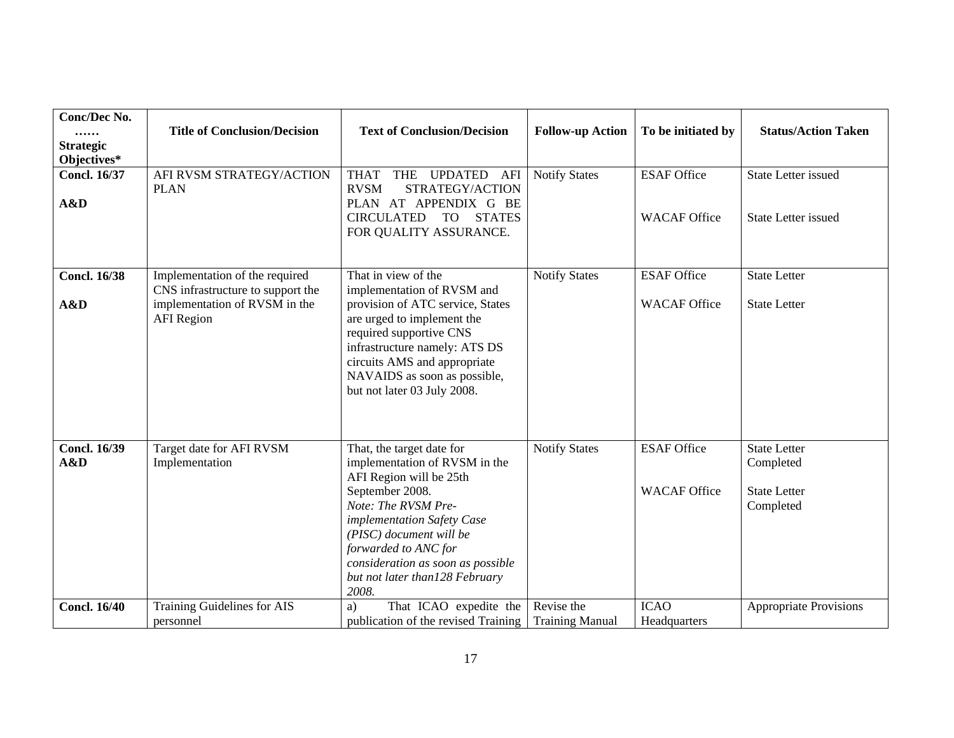| Conc/Dec No.<br><br><b>Strategic</b><br>Objectives* | <b>Title of Conclusion/Decision</b>                                                                                       | <b>Text of Conclusion/Decision</b>                                                                                                                                                                                                                                                               | <b>Follow-up Action</b>              | To be initiated by                        | <b>Status/Action Taken</b>                                           |
|-----------------------------------------------------|---------------------------------------------------------------------------------------------------------------------------|--------------------------------------------------------------------------------------------------------------------------------------------------------------------------------------------------------------------------------------------------------------------------------------------------|--------------------------------------|-------------------------------------------|----------------------------------------------------------------------|
| <b>Concl. 16/37</b><br>A&D                          | AFI RVSM STRATEGY/ACTION<br><b>PLAN</b>                                                                                   | <b>THAT</b><br><b>THE</b><br><b>UPDATED</b><br>AFI<br><b>RVSM</b><br>STRATEGY/ACTION<br>PLAN AT APPENDIX G BE<br><b>CIRCULATED</b><br>TO T<br><b>STATES</b><br>FOR QUALITY ASSURANCE.                                                                                                            | <b>Notify States</b>                 | <b>ESAF Office</b><br><b>WACAF Office</b> | <b>State Letter issued</b><br><b>State Letter issued</b>             |
| <b>Concl. 16/38</b><br>A&D                          | Implementation of the required<br>CNS infrastructure to support the<br>implementation of RVSM in the<br><b>AFI</b> Region | That in view of the<br>implementation of RVSM and<br>provision of ATC service, States<br>are urged to implement the<br>required supportive CNS<br>infrastructure namely: ATS DS<br>circuits AMS and appropriate<br>NAVAIDS as soon as possible,<br>but not later 03 July 2008.                   | <b>Notify States</b>                 | <b>ESAF Office</b><br><b>WACAF Office</b> | <b>State Letter</b><br><b>State Letter</b>                           |
| <b>Concl. 16/39</b><br>A&D                          | Target date for AFI RVSM<br>Implementation                                                                                | That, the target date for<br>implementation of RVSM in the<br>AFI Region will be 25th<br>September 2008.<br>Note: The RVSM Pre-<br>implementation Safety Case<br>(PISC) document will be<br>forwarded to ANC for<br>consideration as soon as possible<br>but not later than128 February<br>2008. | <b>Notify States</b>                 | <b>ESAF Office</b><br><b>WACAF Office</b> | <b>State Letter</b><br>Completed<br><b>State Letter</b><br>Completed |
| <b>Concl. 16/40</b>                                 | Training Guidelines for AIS<br>personnel                                                                                  | That ICAO expedite the<br>a)<br>publication of the revised Training                                                                                                                                                                                                                              | Revise the<br><b>Training Manual</b> | <b>ICAO</b><br>Headquarters               | <b>Appropriate Provisions</b>                                        |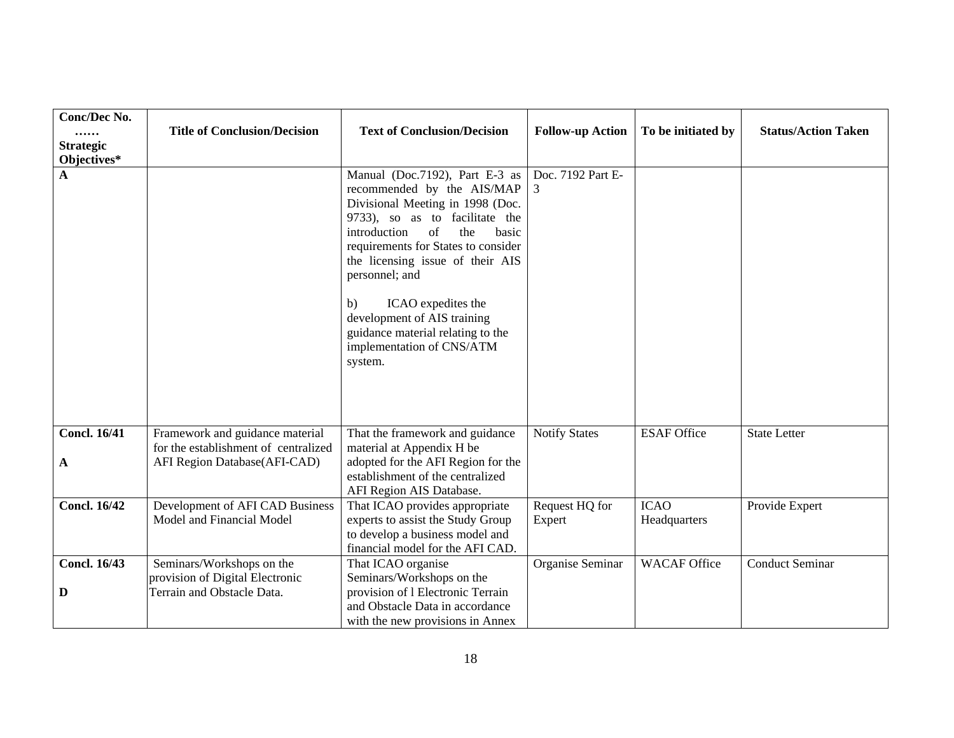| Conc/Dec No.<br><br><b>Strategic</b><br>Objectives* | <b>Title of Conclusion/Decision</b>                                                                     | <b>Text of Conclusion/Decision</b>                                                                                                                                                                                                                                                                                                                                                                            | <b>Follow-up Action</b>  | To be initiated by          | <b>Status/Action Taken</b> |
|-----------------------------------------------------|---------------------------------------------------------------------------------------------------------|---------------------------------------------------------------------------------------------------------------------------------------------------------------------------------------------------------------------------------------------------------------------------------------------------------------------------------------------------------------------------------------------------------------|--------------------------|-----------------------------|----------------------------|
| A                                                   |                                                                                                         | Manual (Doc.7192), Part E-3 as<br>recommended by the AIS/MAP<br>Divisional Meeting in 1998 (Doc.<br>9733), so as to facilitate the<br>introduction<br>of<br>the<br>basic<br>requirements for States to consider<br>the licensing issue of their AIS<br>personnel; and<br>ICAO expedites the<br>b)<br>development of AIS training<br>guidance material relating to the<br>implementation of CNS/ATM<br>system. | Doc. 7192 Part E-<br>3   |                             |                            |
| <b>Concl. 16/41</b><br>A                            | Framework and guidance material<br>for the establishment of centralized<br>AFI Region Database(AFI-CAD) | That the framework and guidance<br>material at Appendix H be<br>adopted for the AFI Region for the<br>establishment of the centralized                                                                                                                                                                                                                                                                        | <b>Notify States</b>     | <b>ESAF Office</b>          | <b>State Letter</b>        |
| <b>Concl. 16/42</b>                                 | Development of AFI CAD Business<br>Model and Financial Model                                            | AFI Region AIS Database.<br>That ICAO provides appropriate<br>experts to assist the Study Group<br>to develop a business model and<br>financial model for the AFI CAD.                                                                                                                                                                                                                                        | Request HQ for<br>Expert | <b>ICAO</b><br>Headquarters | Provide Expert             |
| <b>Concl. 16/43</b><br>D                            | Seminars/Workshops on the<br>provision of Digital Electronic<br>Terrain and Obstacle Data.              | That ICAO organise<br>Seminars/Workshops on the<br>provision of 1 Electronic Terrain<br>and Obstacle Data in accordance<br>with the new provisions in Annex                                                                                                                                                                                                                                                   | Organise Seminar         | <b>WACAF</b> Office         | <b>Conduct Seminar</b>     |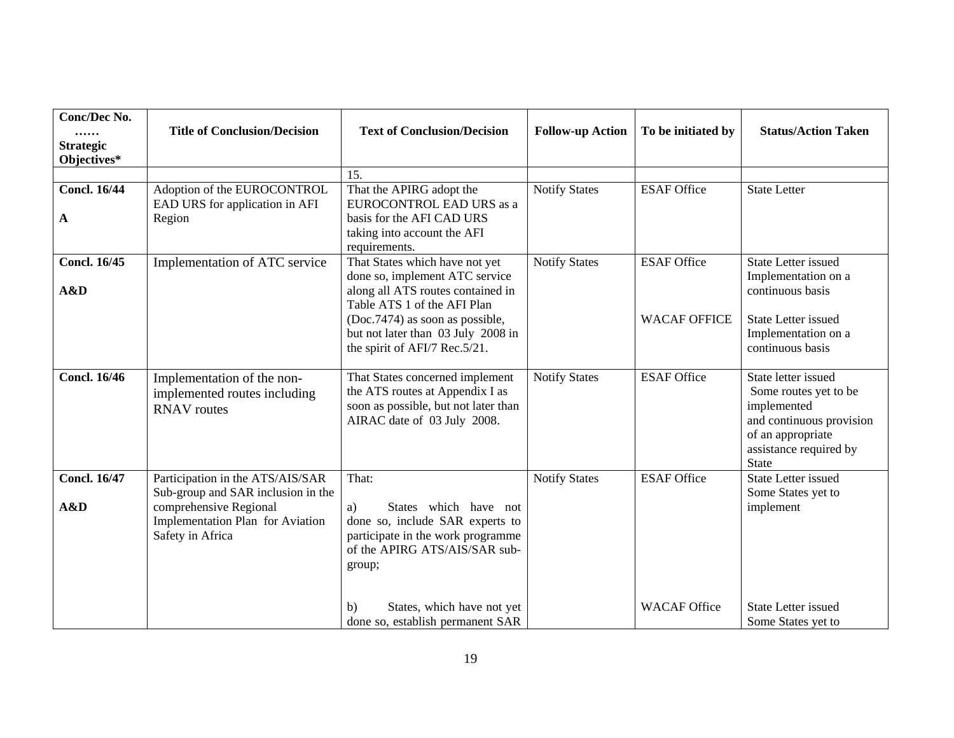| Conc/Dec No.<br><br><b>Strategic</b><br>Objectives* | <b>Title of Conclusion/Decision</b>                                                                                  | <b>Text of Conclusion/Decision</b>                                                                                                                                                                                                             | <b>Follow-up Action</b> | To be initiated by                        | <b>Status/Action Taken</b>                                                                                                                             |
|-----------------------------------------------------|----------------------------------------------------------------------------------------------------------------------|------------------------------------------------------------------------------------------------------------------------------------------------------------------------------------------------------------------------------------------------|-------------------------|-------------------------------------------|--------------------------------------------------------------------------------------------------------------------------------------------------------|
|                                                     |                                                                                                                      | 15.                                                                                                                                                                                                                                            |                         |                                           |                                                                                                                                                        |
| <b>Concl. 16/44</b><br>A                            | Adoption of the EUROCONTROL<br>EAD URS for application in AFI<br>Region                                              | That the APIRG adopt the<br>EUROCONTROL EAD URS as a<br>basis for the AFI CAD URS<br>taking into account the AFI<br>requirements.                                                                                                              | <b>Notify States</b>    | <b>ESAF Office</b>                        | <b>State Letter</b>                                                                                                                                    |
| <b>Concl. 16/45</b><br>A&D                          | Implementation of ATC service                                                                                        | That States which have not yet<br>done so, implement ATC service<br>along all ATS routes contained in<br>Table ATS 1 of the AFI Plan<br>(Doc.7474) as soon as possible,<br>but not later than 03 July 2008 in<br>the spirit of AFI/7 Rec.5/21. | <b>Notify States</b>    | <b>ESAF Office</b><br><b>WACAF OFFICE</b> | <b>State Letter issued</b><br>Implementation on a<br>continuous basis<br><b>State Letter issued</b><br>Implementation on a<br>continuous basis         |
| <b>Concl. 16/46</b>                                 | Implementation of the non-<br>implemented routes including<br><b>RNAV</b> routes                                     | That States concerned implement<br>the ATS routes at Appendix I as<br>soon as possible, but not later than<br>AIRAC date of 03 July 2008.                                                                                                      | <b>Notify States</b>    | <b>ESAF Office</b>                        | State letter issued<br>Some routes yet to be<br>implemented<br>and continuous provision<br>of an appropriate<br>assistance required by<br><b>State</b> |
| <b>Concl. 16/47</b>                                 | Participation in the ATS/AIS/SAR                                                                                     | That:                                                                                                                                                                                                                                          | <b>Notify States</b>    | <b>ESAF Office</b>                        | <b>State Letter issued</b>                                                                                                                             |
| A&D                                                 | Sub-group and SAR inclusion in the<br>comprehensive Regional<br>Implementation Plan for Aviation<br>Safety in Africa | States which have not<br>a)<br>done so, include SAR experts to<br>participate in the work programme<br>of the APIRG ATS/AIS/SAR sub-<br>group;                                                                                                 |                         |                                           | Some States yet to<br>implement                                                                                                                        |
|                                                     |                                                                                                                      | States, which have not yet<br>b)<br>done so, establish permanent SAR                                                                                                                                                                           |                         | <b>WACAF Office</b>                       | <b>State Letter issued</b><br>Some States yet to                                                                                                       |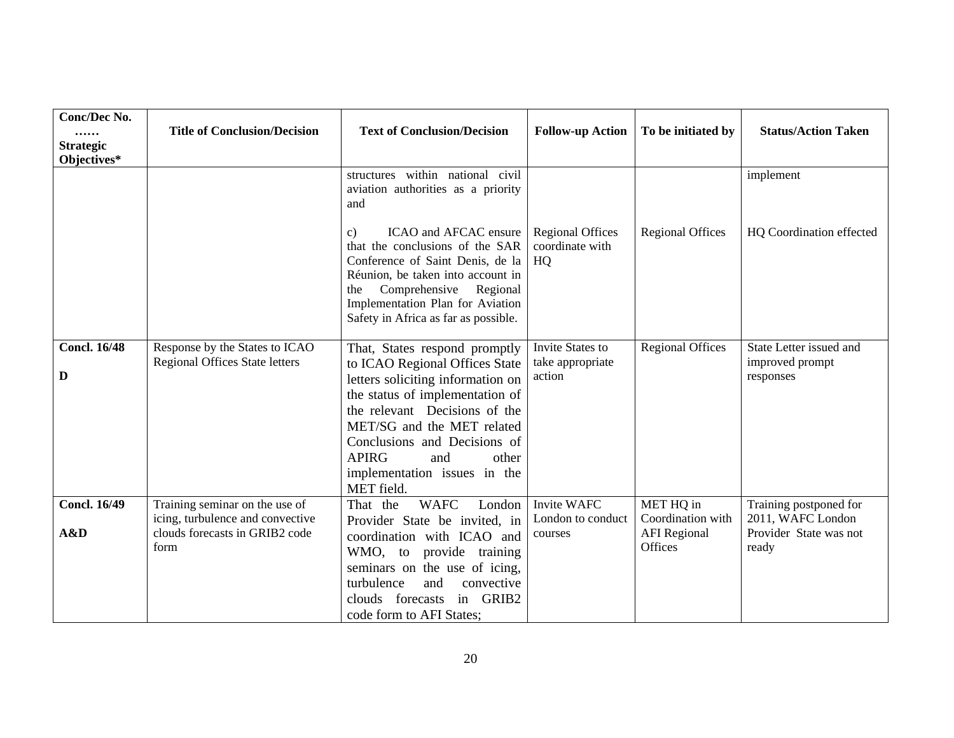| Conc/Dec No.<br><br><b>Strategic</b><br>Objectives* | <b>Title of Conclusion/Decision</b>                                                                          | <b>Text of Conclusion/Decision</b>                                                                                                                                                                                                                                                                                   | <b>Follow-up Action</b>                          | To be initiated by                                               | <b>Status/Action Taken</b>                                                     |
|-----------------------------------------------------|--------------------------------------------------------------------------------------------------------------|----------------------------------------------------------------------------------------------------------------------------------------------------------------------------------------------------------------------------------------------------------------------------------------------------------------------|--------------------------------------------------|------------------------------------------------------------------|--------------------------------------------------------------------------------|
|                                                     |                                                                                                              | structures within national civil<br>aviation authorities as a priority<br>and                                                                                                                                                                                                                                        |                                                  |                                                                  | implement                                                                      |
|                                                     |                                                                                                              | ICAO and AFCAC ensure<br>C)<br>that the conclusions of the SAR<br>Conference of Saint Denis, de la<br>Réunion, be taken into account in<br>Comprehensive Regional<br>the<br>Implementation Plan for Aviation<br>Safety in Africa as far as possible.                                                                 | <b>Regional Offices</b><br>coordinate with<br>HQ | <b>Regional Offices</b>                                          | HQ Coordination effected                                                       |
| <b>Concl. 16/48</b><br>D                            | Response by the States to ICAO<br><b>Regional Offices State letters</b>                                      | That, States respond promptly<br>to ICAO Regional Offices State<br>letters soliciting information on<br>the status of implementation of<br>the relevant Decisions of the<br>MET/SG and the MET related<br>Conclusions and Decisions of<br><b>APIRG</b><br>and<br>other<br>implementation issues in the<br>MET field. | Invite States to<br>take appropriate<br>action   | <b>Regional Offices</b>                                          | State Letter issued and<br>improved prompt<br>responses                        |
| <b>Concl. 16/49</b><br>A&D                          | Training seminar on the use of<br>icing, turbulence and convective<br>clouds forecasts in GRIB2 code<br>form | <b>WAFC</b><br>London<br>That the<br>Provider State be invited, in<br>coordination with ICAO and<br>WMO, to provide training<br>seminars on the use of icing,<br>turbulence<br>and<br>convective<br>clouds forecasts in GRIB2<br>code form to AFI States;                                                            | Invite WAFC<br>London to conduct<br>courses      | MET HQ in<br>Coordination with<br><b>AFI</b> Regional<br>Offices | Training postponed for<br>2011, WAFC London<br>Provider State was not<br>ready |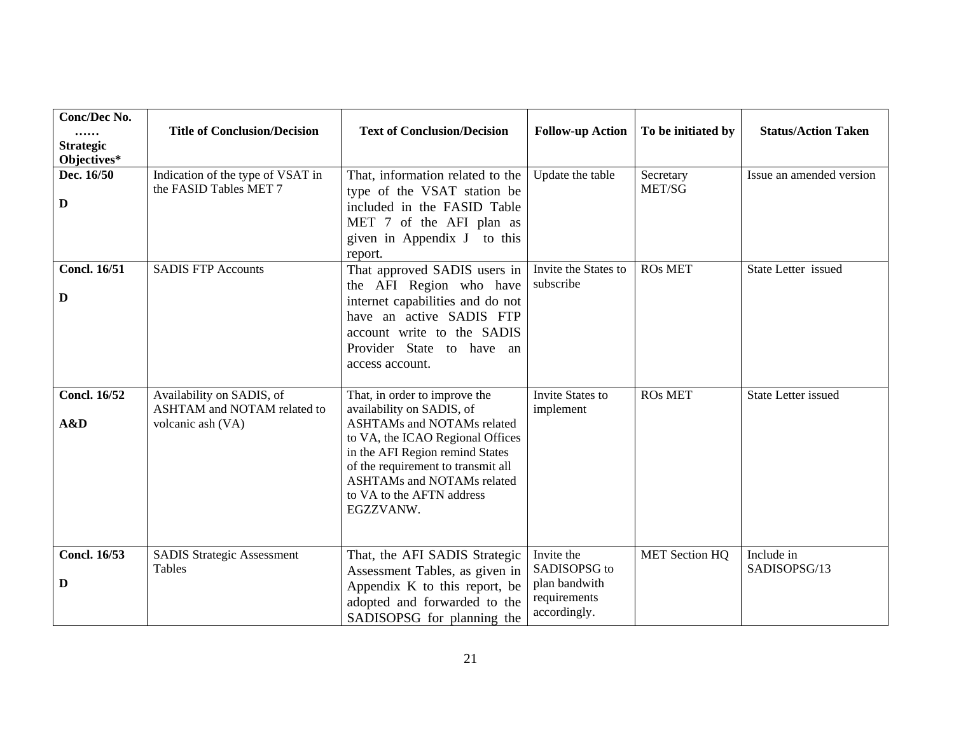| Conc/Dec No.<br><br><b>Strategic</b><br>Objectives* | <b>Title of Conclusion/Decision</b>                                           | <b>Text of Conclusion/Decision</b>                                                                                                                                                                                                                                                          | <b>Follow-up Action</b>                                                     | To be initiated by    | <b>Status/Action Taken</b> |
|-----------------------------------------------------|-------------------------------------------------------------------------------|---------------------------------------------------------------------------------------------------------------------------------------------------------------------------------------------------------------------------------------------------------------------------------------------|-----------------------------------------------------------------------------|-----------------------|----------------------------|
| Dec. 16/50<br>$\mathbf D$                           | Indication of the type of VSAT in<br>the FASID Tables MET 7                   | That, information related to the<br>type of the VSAT station be<br>included in the FASID Table<br>MET 7 of the AFI plan as<br>given in Appendix J to this<br>report.                                                                                                                        | Update the table                                                            | Secretary<br>MET/SG   | Issue an amended version   |
| <b>Concl. 16/51</b><br>D                            | <b>SADIS FTP Accounts</b>                                                     | That approved SADIS users in<br>the AFI Region who have<br>internet capabilities and do not<br>have an active SADIS FTP<br>account write to the SADIS<br>Provider State to have an<br>access account.                                                                                       | Invite the States to<br>subscribe                                           | <b>ROs MET</b>        | State Letter issued        |
| <b>Concl. 16/52</b><br>A&D                          | Availability on SADIS, of<br>ASHTAM and NOTAM related to<br>volcanic ash (VA) | That, in order to improve the<br>availability on SADIS, of<br><b>ASHTAMs and NOTAMs related</b><br>to VA, the ICAO Regional Offices<br>in the AFI Region remind States<br>of the requirement to transmit all<br><b>ASHTAMs and NOTAMs related</b><br>to VA to the AFTN address<br>EGZZVANW. | Invite States to<br>implement                                               | <b>ROs MET</b>        | State Letter issued        |
| <b>Concl. 16/53</b><br>D                            | <b>SADIS Strategic Assessment</b><br>Tables                                   | That, the AFI SADIS Strategic<br>Assessment Tables, as given in<br>Appendix K to this report, be<br>adopted and forwarded to the<br>SADISOPSG for planning the                                                                                                                              | Invite the<br>SADISOPSG to<br>plan bandwith<br>requirements<br>accordingly. | <b>MET Section HQ</b> | Include in<br>SADISOPSG/13 |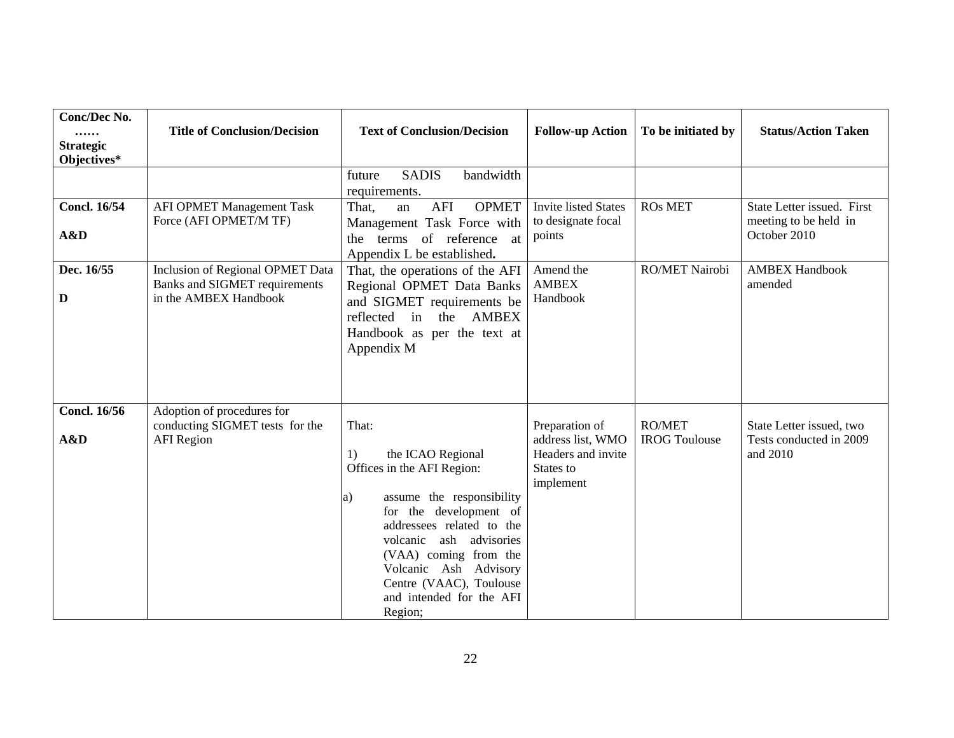| Conc/Dec No.<br><br><b>Strategic</b><br>Objectives* | <b>Title of Conclusion/Decision</b>                                                               | <b>Text of Conclusion/Decision</b>                                                                                                                                                                                                                                                                      | <b>Follow-up Action</b>                                                             | To be initiated by             | <b>Status/Action Taken</b>                                          |
|-----------------------------------------------------|---------------------------------------------------------------------------------------------------|---------------------------------------------------------------------------------------------------------------------------------------------------------------------------------------------------------------------------------------------------------------------------------------------------------|-------------------------------------------------------------------------------------|--------------------------------|---------------------------------------------------------------------|
|                                                     |                                                                                                   | <b>SADIS</b><br>bandwidth<br>future<br>requirements.                                                                                                                                                                                                                                                    |                                                                                     |                                |                                                                     |
| <b>Concl. 16/54</b><br>A&D                          | <b>AFI OPMET Management Task</b><br>Force (AFI OPMET/M TF)                                        | AFI<br><b>OPMET</b><br>That,<br>an<br>Management Task Force with<br>the terms of reference<br>at<br>Appendix L be established.                                                                                                                                                                          | <b>Invite listed States</b><br>to designate focal<br>points                         | <b>ROs MET</b>                 | State Letter issued. First<br>meeting to be held in<br>October 2010 |
| Dec. 16/55<br>D                                     | Inclusion of Regional OPMET Data<br><b>Banks and SIGMET requirements</b><br>in the AMBEX Handbook | That, the operations of the AFI<br>Regional OPMET Data Banks<br>and SIGMET requirements be<br>reflected in the AMBEX<br>Handbook as per the text at<br>Appendix M                                                                                                                                       | Amend the<br><b>AMBEX</b><br>Handbook                                               | RO/MET Nairobi                 | <b>AMBEX Handbook</b><br>amended                                    |
| <b>Concl. 16/56</b><br>A&D                          | Adoption of procedures for<br>conducting SIGMET tests for the<br><b>AFI</b> Region                | That:<br>1)<br>the ICAO Regional<br>Offices in the AFI Region:<br>assume the responsibility<br>a)<br>for the development of<br>addressees related to the<br>volcanic ash advisories<br>(VAA) coming from the<br>Volcanic Ash Advisory<br>Centre (VAAC), Toulouse<br>and intended for the AFI<br>Region; | Preparation of<br>address list, WMO<br>Headers and invite<br>States to<br>implement | RO/MET<br><b>IROG Toulouse</b> | State Letter issued, two<br>Tests conducted in 2009<br>and 2010     |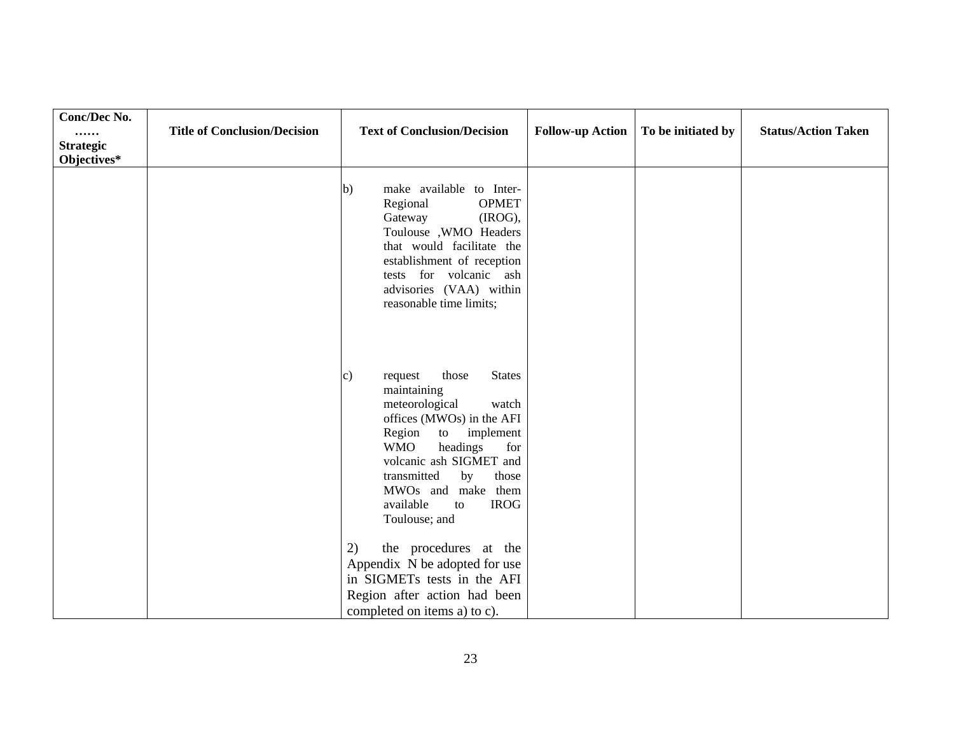| Conc/Dec No.<br><br><b>Strategic</b><br>Objectives* | <b>Title of Conclusion/Decision</b> | <b>Text of Conclusion/Decision</b>                                                                                                                                                                                                                                                                             | <b>Follow-up Action</b> | To be initiated by | <b>Status/Action Taken</b> |
|-----------------------------------------------------|-------------------------------------|----------------------------------------------------------------------------------------------------------------------------------------------------------------------------------------------------------------------------------------------------------------------------------------------------------------|-------------------------|--------------------|----------------------------|
|                                                     |                                     | make available to Inter-<br> b)<br>Regional<br><b>OPMET</b><br>(IROG),<br>Gateway<br>Toulouse , WMO Headers<br>that would facilitate the<br>establishment of reception<br>tests for volcanic ash<br>advisories (VAA) within<br>reasonable time limits;                                                         |                         |                    |                            |
|                                                     |                                     | those<br><b>States</b><br>request<br>C)<br>maintaining<br>meteorological<br>watch<br>offices (MWOs) in the AFI<br>Region<br>implement<br>to<br><b>WMO</b><br>headings<br>for<br>volcanic ash SIGMET and<br>transmitted<br>by<br>those<br>MWOs and make them<br>available<br><b>IROG</b><br>to<br>Toulouse; and |                         |                    |                            |
|                                                     |                                     | the procedures at the<br>2)<br>Appendix N be adopted for use<br>in SIGMETs tests in the AFI<br>Region after action had been<br>completed on items a) to c).                                                                                                                                                    |                         |                    |                            |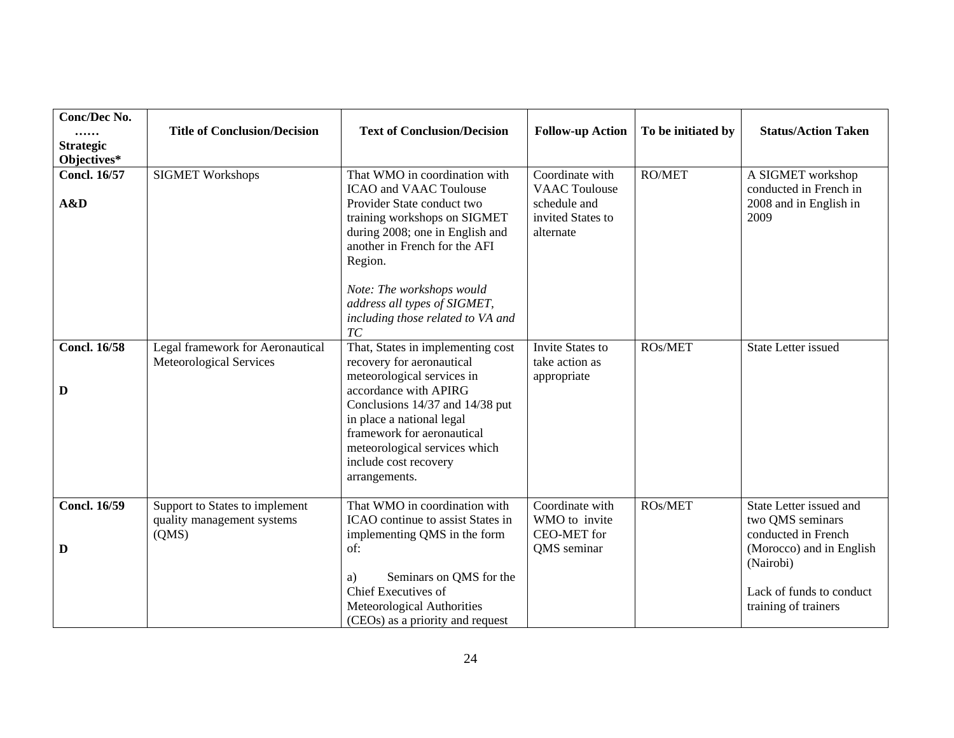| <b>Conc/Dec No.</b><br><br><b>Strategic</b><br>Objectives* | <b>Title of Conclusion/Decision</b>                                   | <b>Text of Conclusion/Decision</b>                                                                                                                                                                                                                                                             | <b>Follow-up Action</b>                                                                   | To be initiated by | <b>Status/Action Taken</b>                                                                                                                                      |
|------------------------------------------------------------|-----------------------------------------------------------------------|------------------------------------------------------------------------------------------------------------------------------------------------------------------------------------------------------------------------------------------------------------------------------------------------|-------------------------------------------------------------------------------------------|--------------------|-----------------------------------------------------------------------------------------------------------------------------------------------------------------|
| <b>Concl. 16/57</b><br>A&D                                 | <b>SIGMET Workshops</b>                                               | That WMO in coordination with<br><b>ICAO</b> and VAAC Toulouse<br>Provider State conduct two<br>training workshops on SIGMET<br>during 2008; one in English and<br>another in French for the AFI<br>Region.                                                                                    | Coordinate with<br><b>VAAC</b> Toulouse<br>schedule and<br>invited States to<br>alternate | <b>RO/MET</b>      | A SIGMET workshop<br>conducted in French in<br>2008 and in English in<br>2009                                                                                   |
|                                                            |                                                                       | Note: The workshops would<br>address all types of SIGMET,<br>including those related to VA and<br>$\mathcal{TC}$                                                                                                                                                                               |                                                                                           |                    |                                                                                                                                                                 |
| <b>Concl. 16/58</b><br>D                                   | Legal framework for Aeronautical<br>Meteorological Services           | That, States in implementing cost<br>recovery for aeronautical<br>meteorological services in<br>accordance with APIRG<br>Conclusions 14/37 and 14/38 put<br>in place a national legal<br>framework for aeronautical<br>meteorological services which<br>include cost recovery<br>arrangements. | <b>Invite States to</b><br>take action as<br>appropriate                                  | ROs/MET            | <b>State Letter issued</b>                                                                                                                                      |
| <b>Concl. 16/59</b><br>D                                   | Support to States to implement<br>quality management systems<br>(QMS) | That WMO in coordination with<br>ICAO continue to assist States in<br>implementing QMS in the form<br>of:<br>Seminars on QMS for the<br>a)<br>Chief Executives of<br>Meteorological Authorities<br>(CEOs) as a priority and request                                                            | Coordinate with<br>WMO to invite<br><b>CEO-MET</b> for<br>QMS seminar                     | ROs/MET            | State Letter issued and<br>two QMS seminars<br>conducted in French<br>(Morocco) and in English<br>(Nairobi)<br>Lack of funds to conduct<br>training of trainers |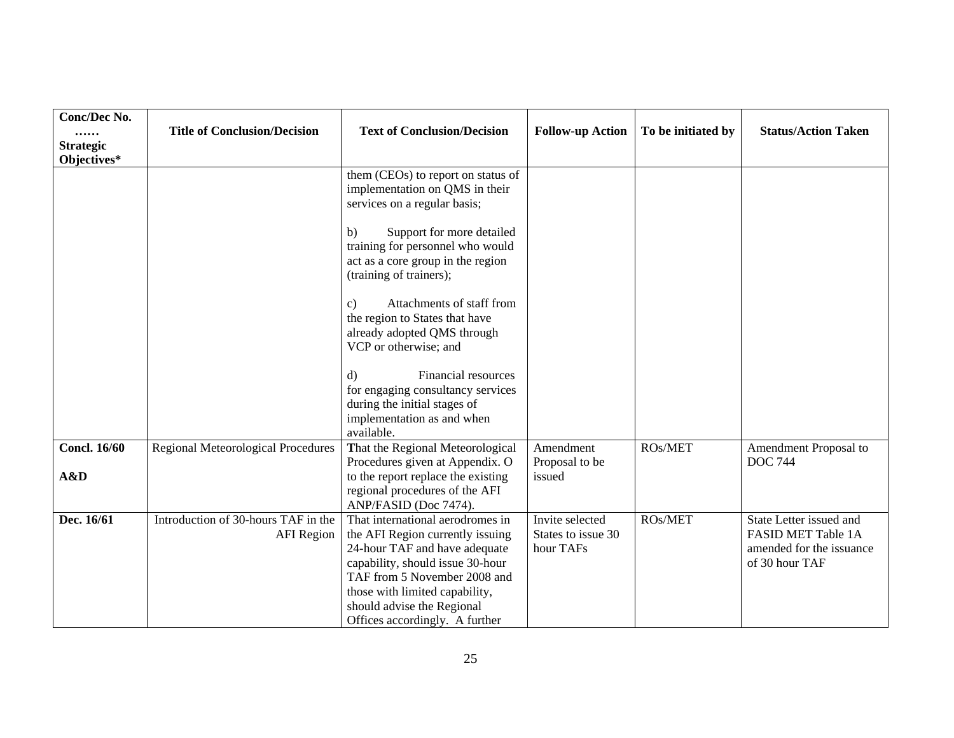| Conc/Dec No.<br><br><b>Strategic</b><br>Objectives* | <b>Title of Conclusion/Decision</b>                      | <b>Text of Conclusion/Decision</b>                                                                                                                                                                                                                                          | <b>Follow-up Action</b>                            | To be initiated by | <b>Status/Action Taken</b>                                                                         |
|-----------------------------------------------------|----------------------------------------------------------|-----------------------------------------------------------------------------------------------------------------------------------------------------------------------------------------------------------------------------------------------------------------------------|----------------------------------------------------|--------------------|----------------------------------------------------------------------------------------------------|
|                                                     |                                                          | them (CEOs) to report on status of<br>implementation on QMS in their<br>services on a regular basis;                                                                                                                                                                        |                                                    |                    |                                                                                                    |
|                                                     |                                                          | Support for more detailed<br>b)<br>training for personnel who would<br>act as a core group in the region<br>(training of trainers);                                                                                                                                         |                                                    |                    |                                                                                                    |
|                                                     |                                                          | Attachments of staff from<br>$\mathbf{c}$<br>the region to States that have<br>already adopted QMS through<br>VCP or otherwise; and                                                                                                                                         |                                                    |                    |                                                                                                    |
|                                                     |                                                          | Financial resources<br>d)<br>for engaging consultancy services<br>during the initial stages of<br>implementation as and when<br>available.                                                                                                                                  |                                                    |                    |                                                                                                    |
| <b>Concl. 16/60</b>                                 | <b>Regional Meteorological Procedures</b>                | That the Regional Meteorological<br>Procedures given at Appendix. O                                                                                                                                                                                                         | Amendment<br>Proposal to be                        | ROs/MET            | Amendment Proposal to<br><b>DOC 744</b>                                                            |
| A&D                                                 |                                                          | to the report replace the existing<br>regional procedures of the AFI<br>ANP/FASID (Doc 7474).                                                                                                                                                                               | issued                                             |                    |                                                                                                    |
| Dec. 16/61                                          | Introduction of 30-hours TAF in the<br><b>AFI</b> Region | That international aerodromes in<br>the AFI Region currently issuing<br>24-hour TAF and have adequate<br>capability, should issue 30-hour<br>TAF from 5 November 2008 and<br>those with limited capability,<br>should advise the Regional<br>Offices accordingly. A further | Invite selected<br>States to issue 30<br>hour TAFs | ROs/MET            | State Letter issued and<br><b>FASID MET Table 1A</b><br>amended for the issuance<br>of 30 hour TAF |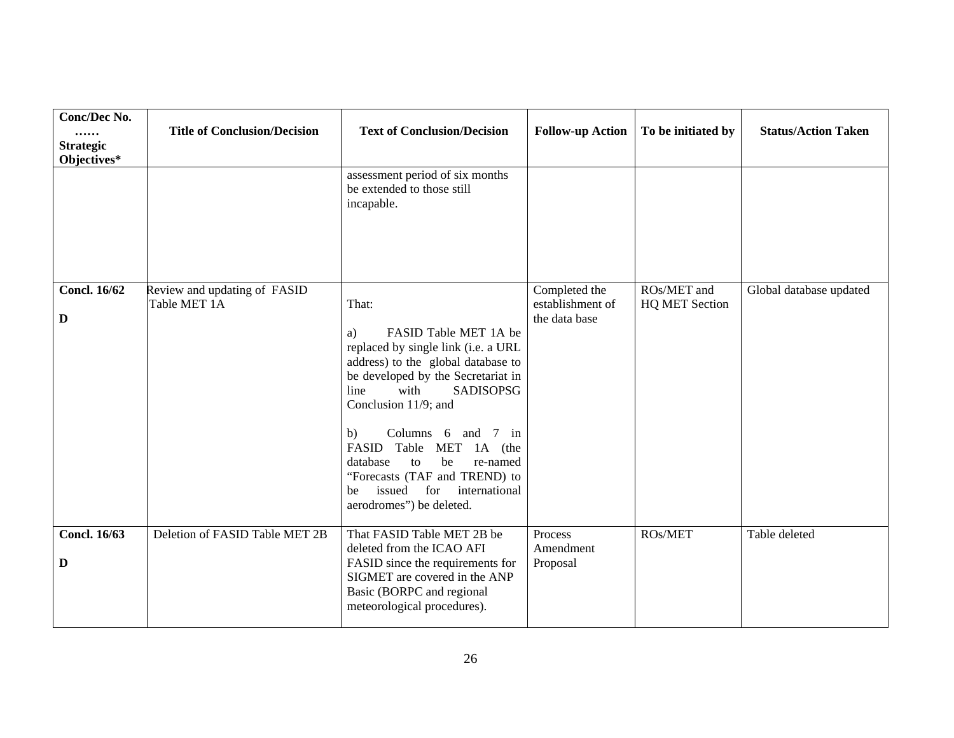| Conc/Dec No.<br><br><b>Strategic</b><br>Objectives* | <b>Title of Conclusion/Decision</b>          | <b>Text of Conclusion/Decision</b>                                                                                                                                                                                                                                                                                                                                                                                               | <b>Follow-up Action</b>                            | To be initiated by                   | <b>Status/Action Taken</b> |
|-----------------------------------------------------|----------------------------------------------|----------------------------------------------------------------------------------------------------------------------------------------------------------------------------------------------------------------------------------------------------------------------------------------------------------------------------------------------------------------------------------------------------------------------------------|----------------------------------------------------|--------------------------------------|----------------------------|
|                                                     |                                              | assessment period of six months<br>be extended to those still<br>incapable.                                                                                                                                                                                                                                                                                                                                                      |                                                    |                                      |                            |
| <b>Concl. 16/62</b><br>$\mathbf D$                  | Review and updating of FASID<br>Table MET 1A | That:<br>FASID Table MET 1A be<br>a)<br>replaced by single link (i.e. a URL<br>address) to the global database to<br>be developed by the Secretariat in<br>line<br>with<br><b>SADISOPSG</b><br>Conclusion 11/9; and<br>Columns 6 and 7 in<br>b)<br>FASID Table<br><b>MET</b><br>1A (the<br>be<br>re-named<br>database<br>to<br>"Forecasts (TAF and TREND) to<br>issued<br>for<br>international<br>be<br>aerodromes") be deleted. | Completed the<br>establishment of<br>the data base | ROs/MET and<br><b>HQ MET Section</b> | Global database updated    |
| Concl. $16/63$<br>D                                 | Deletion of FASID Table MET 2B               | That FASID Table MET 2B be<br>deleted from the ICAO AFI<br>FASID since the requirements for<br>SIGMET are covered in the ANP<br>Basic (BORPC and regional<br>meteorological procedures).                                                                                                                                                                                                                                         | Process<br>Amendment<br>Proposal                   | ROs/MET                              | Table deleted              |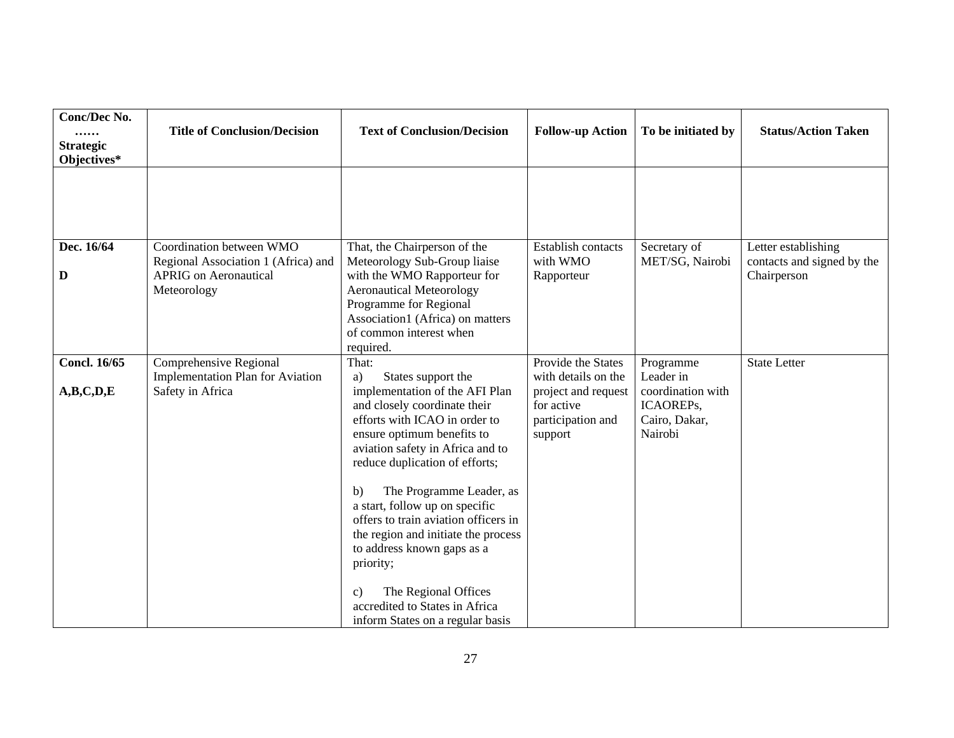| Conc/Dec No.<br><br><b>Strategic</b><br>Objectives* | <b>Title of Conclusion/Decision</b>                                                                            | <b>Text of Conclusion/Decision</b>                                                                                                                                                                                                                                                                                                                                                                                                                                                                                                                   | <b>Follow-up Action</b>                                                                                        | To be initiated by                                                                   | <b>Status/Action Taken</b>                                       |
|-----------------------------------------------------|----------------------------------------------------------------------------------------------------------------|------------------------------------------------------------------------------------------------------------------------------------------------------------------------------------------------------------------------------------------------------------------------------------------------------------------------------------------------------------------------------------------------------------------------------------------------------------------------------------------------------------------------------------------------------|----------------------------------------------------------------------------------------------------------------|--------------------------------------------------------------------------------------|------------------------------------------------------------------|
|                                                     |                                                                                                                |                                                                                                                                                                                                                                                                                                                                                                                                                                                                                                                                                      |                                                                                                                |                                                                                      |                                                                  |
| Dec. 16/64<br>D                                     | Coordination between WMO<br>Regional Association 1 (Africa) and<br><b>APRIG</b> on Aeronautical<br>Meteorology | That, the Chairperson of the<br>Meteorology Sub-Group liaise<br>with the WMO Rapporteur for<br><b>Aeronautical Meteorology</b><br>Programme for Regional<br>Association1 (Africa) on matters<br>of common interest when<br>required.                                                                                                                                                                                                                                                                                                                 | <b>Establish contacts</b><br>with WMO<br>Rapporteur                                                            | Secretary of<br>MET/SG, Nairobi                                                      | Letter establishing<br>contacts and signed by the<br>Chairperson |
| <b>Concl. 16/65</b><br>A,B,C,D,E                    | Comprehensive Regional<br><b>Implementation Plan for Aviation</b><br>Safety in Africa                          | That:<br>States support the<br>a)<br>implementation of the AFI Plan<br>and closely coordinate their<br>efforts with ICAO in order to<br>ensure optimum benefits to<br>aviation safety in Africa and to<br>reduce duplication of efforts;<br>The Programme Leader, as<br>$\mathbf{b}$<br>a start, follow up on specific<br>offers to train aviation officers in<br>the region and initiate the process<br>to address known gaps as a<br>priority;<br>The Regional Offices<br>C)<br>accredited to States in Africa<br>inform States on a regular basis | Provide the States<br>with details on the<br>project and request<br>for active<br>participation and<br>support | Programme<br>Leader in<br>coordination with<br>ICAOREPs,<br>Cairo, Dakar,<br>Nairobi | <b>State Letter</b>                                              |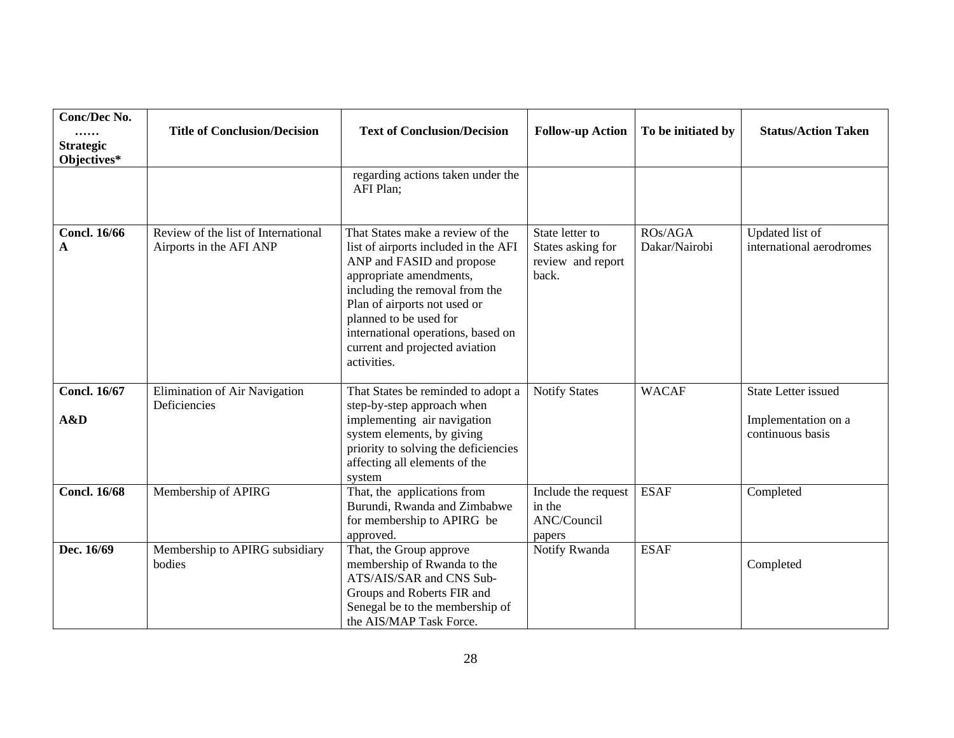| Conc/Dec No.<br><br><b>Strategic</b><br>Objectives* | <b>Title of Conclusion/Decision</b>                            | <b>Text of Conclusion/Decision</b>                                                                                                                                                                                                                                                                                  | <b>Follow-up Action</b>                                            | To be initiated by       | <b>Status/Action Taken</b>                                            |
|-----------------------------------------------------|----------------------------------------------------------------|---------------------------------------------------------------------------------------------------------------------------------------------------------------------------------------------------------------------------------------------------------------------------------------------------------------------|--------------------------------------------------------------------|--------------------------|-----------------------------------------------------------------------|
|                                                     |                                                                | regarding actions taken under the<br>AFI Plan;                                                                                                                                                                                                                                                                      |                                                                    |                          |                                                                       |
| <b>Concl. 16/66</b><br>A                            | Review of the list of International<br>Airports in the AFI ANP | That States make a review of the<br>list of airports included in the AFI<br>ANP and FASID and propose<br>appropriate amendments,<br>including the removal from the<br>Plan of airports not used or<br>planned to be used for<br>international operations, based on<br>current and projected aviation<br>activities. | State letter to<br>States asking for<br>review and report<br>back. | ROs/AGA<br>Dakar/Nairobi | Updated list of<br>international aerodromes                           |
| <b>Concl. 16/67</b><br>A&D                          | Elimination of Air Navigation<br>Deficiencies                  | That States be reminded to adopt a<br>step-by-step approach when<br>implementing air navigation<br>system elements, by giving<br>priority to solving the deficiencies<br>affecting all elements of the<br>system                                                                                                    | <b>Notify States</b>                                               | <b>WACAF</b>             | <b>State Letter issued</b><br>Implementation on a<br>continuous basis |
| <b>Concl. 16/68</b>                                 | Membership of APIRG                                            | That, the applications from<br>Burundi, Rwanda and Zimbabwe<br>for membership to APIRG be<br>approved.                                                                                                                                                                                                              | Include the request<br>in the<br>ANC/Council<br>papers             | <b>ESAF</b>              | Completed                                                             |
| Dec. 16/69                                          | Membership to APIRG subsidiary<br>bodies                       | That, the Group approve<br>membership of Rwanda to the<br>ATS/AIS/SAR and CNS Sub-<br>Groups and Roberts FIR and<br>Senegal be to the membership of<br>the AIS/MAP Task Force.                                                                                                                                      | Notify Rwanda                                                      | <b>ESAF</b>              | Completed                                                             |